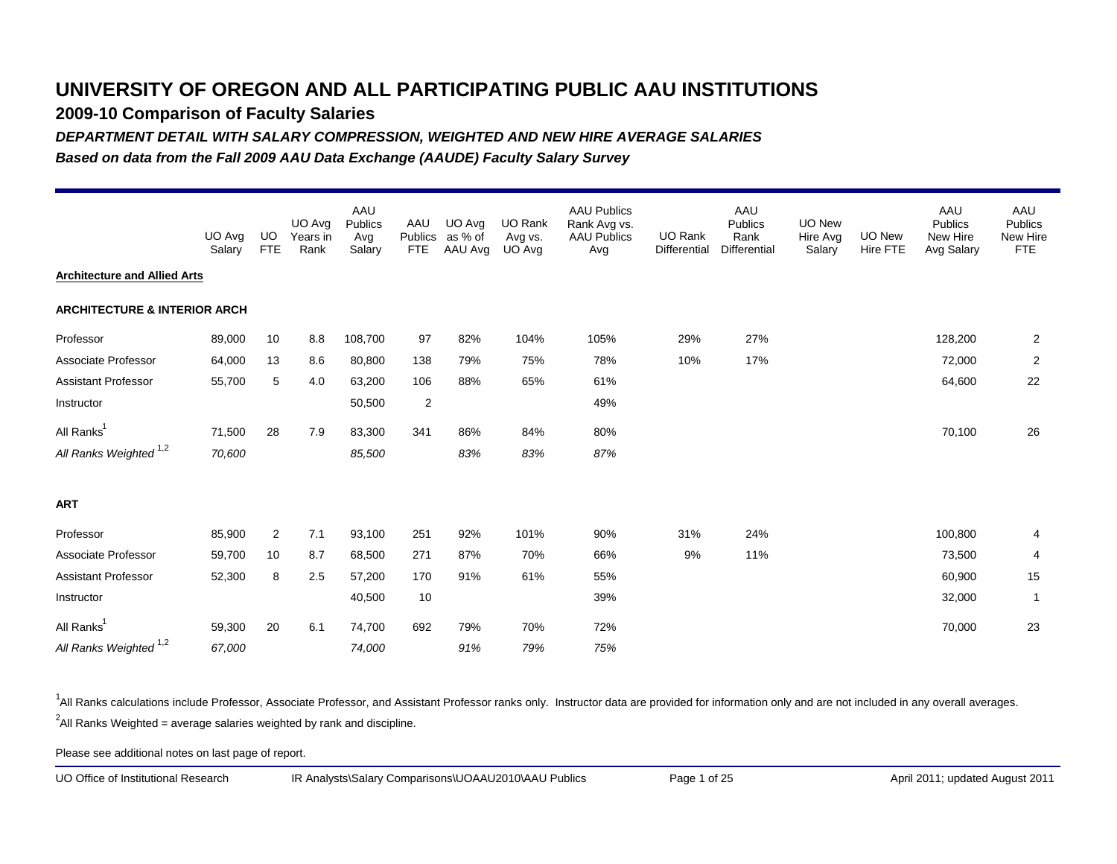**2009-10 Comparison of Faculty Salaries**

*DEPARTMENT DETAIL WITH SALARY COMPRESSION, WEIGHTED AND NEW HIRE AVERAGE SALARIES*

*Based on data from the Fall 2009 AAU Data Exchange (AAUDE) Faculty Salary Survey*

|                                         | UO Avg<br>Salary | UO.<br><b>FTE</b> | UO Avg<br>Years in<br>Rank | AAU<br>Publics<br>Avg<br>Salary | AAU<br>Publics<br><b>FTE</b> | UO Avg<br>as % of<br>AAU Avg | UO Rank<br>Avg vs.<br>UO Avg | <b>AAU Publics</b><br>Rank Avg vs.<br><b>AAU Publics</b><br>Avg | <b>UO Rank</b><br>Differential | AAU<br>Publics<br>Rank<br><b>Differential</b> | UO New<br>Hire Avg<br>Salary | <b>UO New</b><br>Hire FTE | AAU<br>Publics<br>New Hire<br>Avg Salary | AAU<br><b>Publics</b><br>New Hire<br><b>FTE</b> |
|-----------------------------------------|------------------|-------------------|----------------------------|---------------------------------|------------------------------|------------------------------|------------------------------|-----------------------------------------------------------------|--------------------------------|-----------------------------------------------|------------------------------|---------------------------|------------------------------------------|-------------------------------------------------|
| <b>Architecture and Allied Arts</b>     |                  |                   |                            |                                 |                              |                              |                              |                                                                 |                                |                                               |                              |                           |                                          |                                                 |
| <b>ARCHITECTURE &amp; INTERIOR ARCH</b> |                  |                   |                            |                                 |                              |                              |                              |                                                                 |                                |                                               |                              |                           |                                          |                                                 |
| Professor                               | 89,000           | 10                | 8.8                        | 108,700                         | 97                           | 82%                          | 104%                         | 105%                                                            | 29%                            | 27%                                           |                              |                           | 128,200                                  | $\overline{2}$                                  |
| Associate Professor                     | 64,000           | 13                | 8.6                        | 80,800                          | 138                          | 79%                          | 75%                          | 78%                                                             | 10%                            | 17%                                           |                              |                           | 72,000                                   | $\overline{2}$                                  |
| <b>Assistant Professor</b>              | 55,700           | 5                 | 4.0                        | 63,200                          | 106                          | 88%                          | 65%                          | 61%                                                             |                                |                                               |                              |                           | 64,600                                   | 22                                              |
| Instructor                              |                  |                   |                            | 50,500                          | $\sqrt{2}$                   |                              |                              | 49%                                                             |                                |                                               |                              |                           |                                          |                                                 |
| All Ranks <sup>1</sup>                  | 71,500           | 28                | 7.9                        | 83,300                          | 341                          | 86%                          | 84%                          | 80%                                                             |                                |                                               |                              |                           | 70,100                                   | 26                                              |
| All Ranks Weighted <sup>1,2</sup>       | 70,600           |                   |                            | 85,500                          |                              | 83%                          | 83%                          | 87%                                                             |                                |                                               |                              |                           |                                          |                                                 |
| <b>ART</b>                              |                  |                   |                            |                                 |                              |                              |                              |                                                                 |                                |                                               |                              |                           |                                          |                                                 |
| Professor                               | 85,900           | $\overline{2}$    | 7.1                        | 93,100                          | 251                          | 92%                          | 101%                         | 90%                                                             | 31%                            | 24%                                           |                              |                           | 100,800                                  | 4                                               |
| Associate Professor                     | 59,700           | 10                | 8.7                        | 68,500                          | 271                          | 87%                          | 70%                          | 66%                                                             | 9%                             | 11%                                           |                              |                           | 73,500                                   | 4                                               |
| <b>Assistant Professor</b>              | 52,300           | 8                 | 2.5                        | 57,200                          | 170                          | 91%                          | 61%                          | 55%                                                             |                                |                                               |                              |                           | 60,900                                   | 15                                              |
| Instructor                              |                  |                   |                            | 40,500                          | 10                           |                              |                              | 39%                                                             |                                |                                               |                              |                           | 32,000                                   | $\mathbf{1}$                                    |
| All Ranks <sup>1</sup>                  | 59,300           | 20                | 6.1                        | 74,700                          | 692                          | 79%                          | 70%                          | 72%                                                             |                                |                                               |                              |                           | 70,000                                   | 23                                              |
| All Ranks Weighted <sup>1,2</sup>       | 67,000           |                   |                            | 74,000                          |                              | 91%                          | 79%                          | 75%                                                             |                                |                                               |                              |                           |                                          |                                                 |

<sup>1</sup>All Ranks calculations include Professor, Associate Professor, and Assistant Professor ranks only. Instructor data are provided for information only and are not included in any overall averages.  $^2$ All Ranks Weighted = average salaries weighted by rank and discipline.

Please see additional notes on last page of report.

UO Office of Institutional Research IR Analysts\Salary Comparisons\UOAAU2010\AAU Publics Page 1 of 25 April 2011; updated August 2011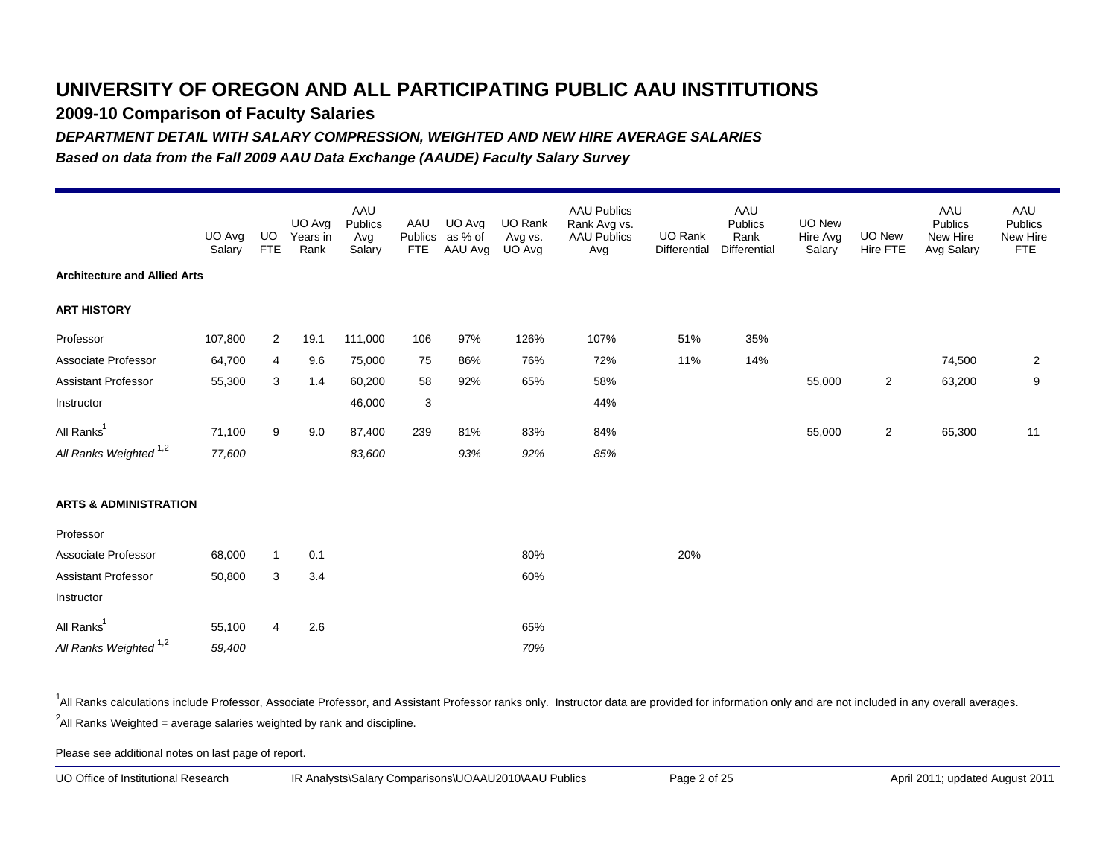**2009-10 Comparison of Faculty Salaries**

*DEPARTMENT DETAIL WITH SALARY COMPRESSION, WEIGHTED AND NEW HIRE AVERAGE SALARIES*

*Based on data from the Fall 2009 AAU Data Exchange (AAUDE) Faculty Salary Survey*

|                                     | UO Avg<br>Salary | <b>UO</b><br><b>FTE</b> | UO Avg<br>Years in<br>Rank | AAU<br>Publics<br>Avg<br>Salary | AAU<br>Publics<br><b>FTE</b> | UO Avg<br>as % of<br>AAU Avg | UO Rank<br>Avg vs.<br>UO Avg | <b>AAU Publics</b><br>Rank Avg vs.<br><b>AAU Publics</b><br>Avg | UO Rank<br>Differential | AAU<br>Publics<br>Rank<br>Differential | UO New<br>Hire Avg<br>Salary | UO New<br>Hire FTE | AAU<br>Publics<br>New Hire<br>Avg Salary | AAU<br><b>Publics</b><br>New Hire<br><b>FTE</b> |
|-------------------------------------|------------------|-------------------------|----------------------------|---------------------------------|------------------------------|------------------------------|------------------------------|-----------------------------------------------------------------|-------------------------|----------------------------------------|------------------------------|--------------------|------------------------------------------|-------------------------------------------------|
| <b>Architecture and Allied Arts</b> |                  |                         |                            |                                 |                              |                              |                              |                                                                 |                         |                                        |                              |                    |                                          |                                                 |
| <b>ART HISTORY</b>                  |                  |                         |                            |                                 |                              |                              |                              |                                                                 |                         |                                        |                              |                    |                                          |                                                 |
| Professor                           | 107,800          | $\overline{2}$          | 19.1                       | 111,000                         | 106                          | 97%                          | 126%                         | 107%                                                            | 51%                     | 35%                                    |                              |                    |                                          |                                                 |
| Associate Professor                 | 64,700           | $\overline{4}$          | 9.6                        | 75,000                          | 75                           | 86%                          | 76%                          | 72%                                                             | 11%                     | 14%                                    |                              |                    | 74,500                                   | $\overline{2}$                                  |
| Assistant Professor                 | 55,300           | 3                       | 1.4                        | 60,200                          | 58                           | 92%                          | 65%                          | 58%                                                             |                         |                                        | 55,000                       | $\overline{2}$     | 63,200                                   | 9                                               |
| Instructor                          |                  |                         |                            | 46,000                          | $\ensuremath{\mathsf{3}}$    |                              |                              | 44%                                                             |                         |                                        |                              |                    |                                          |                                                 |
| All Ranks <sup>1</sup>              | 71,100           | 9                       | 9.0                        | 87,400                          | 239                          | 81%                          | 83%                          | 84%                                                             |                         |                                        | 55,000                       | 2                  | 65,300                                   | 11                                              |
| All Ranks Weighted <sup>1,2</sup>   | 77,600           |                         |                            | 83,600                          |                              | 93%                          | 92%                          | 85%                                                             |                         |                                        |                              |                    |                                          |                                                 |
| <b>ARTS &amp; ADMINISTRATION</b>    |                  |                         |                            |                                 |                              |                              |                              |                                                                 |                         |                                        |                              |                    |                                          |                                                 |
| Professor                           |                  |                         |                            |                                 |                              |                              |                              |                                                                 |                         |                                        |                              |                    |                                          |                                                 |
| Associate Professor                 | 68,000           | $\mathbf{1}$            | 0.1                        |                                 |                              |                              | 80%                          |                                                                 | 20%                     |                                        |                              |                    |                                          |                                                 |
| <b>Assistant Professor</b>          | 50,800           | 3                       | 3.4                        |                                 |                              |                              | 60%                          |                                                                 |                         |                                        |                              |                    |                                          |                                                 |
| Instructor                          |                  |                         |                            |                                 |                              |                              |                              |                                                                 |                         |                                        |                              |                    |                                          |                                                 |
| All Ranks <sup>1</sup>              | 55,100           | 4                       | 2.6                        |                                 |                              |                              | 65%                          |                                                                 |                         |                                        |                              |                    |                                          |                                                 |
| All Ranks Weighted <sup>1,2</sup>   | 59,400           |                         |                            |                                 |                              |                              | 70%                          |                                                                 |                         |                                        |                              |                    |                                          |                                                 |

<sup>1</sup>All Ranks calculations include Professor, Associate Professor, and Assistant Professor ranks only. Instructor data are provided for information only and are not included in any overall averages.  $^2$ All Ranks Weighted = average salaries weighted by rank and discipline.

Please see additional notes on last page of report.

UO Office of Institutional Research IR Analysts\Salary Comparisons\UOAAU2010\AAU Publics Page 2 of 25 April 2011; updated August 2011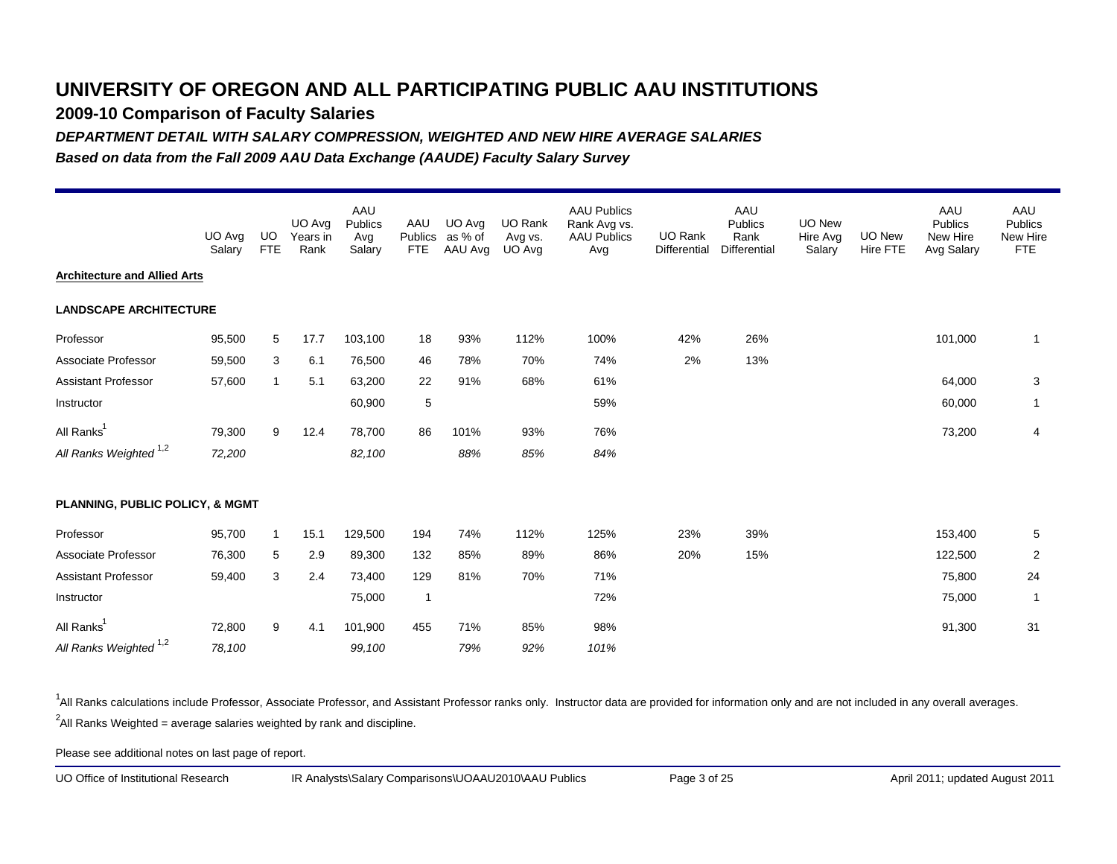**2009-10 Comparison of Faculty Salaries**

*DEPARTMENT DETAIL WITH SALARY COMPRESSION, WEIGHTED AND NEW HIRE AVERAGE SALARIES*

*Based on data from the Fall 2009 AAU Data Exchange (AAUDE) Faculty Salary Survey*

|                                            | UO Avg<br>Salary | <b>UO</b><br><b>FTE</b> | UO Avg<br>Years in<br>Rank | AAU<br>Publics<br>Avg<br>Salary | AAU<br>Publics<br><b>FTE</b> | UO Avg<br>as % of<br>AAU Avg | <b>UO Rank</b><br>Avg vs.<br>UO Avg | <b>AAU Publics</b><br>Rank Avg vs.<br><b>AAU Publics</b><br>Avg | <b>UO Rank</b><br>Differential | AAU<br>Publics<br>Rank<br>Differential | <b>UO New</b><br>Hire Avg<br>Salary | UO New<br>Hire FTE | AAU<br><b>Publics</b><br>New Hire<br>Avg Salary | AAU<br><b>Publics</b><br>New Hire<br><b>FTE</b> |
|--------------------------------------------|------------------|-------------------------|----------------------------|---------------------------------|------------------------------|------------------------------|-------------------------------------|-----------------------------------------------------------------|--------------------------------|----------------------------------------|-------------------------------------|--------------------|-------------------------------------------------|-------------------------------------------------|
| <b>Architecture and Allied Arts</b>        |                  |                         |                            |                                 |                              |                              |                                     |                                                                 |                                |                                        |                                     |                    |                                                 |                                                 |
| <b>LANDSCAPE ARCHITECTURE</b>              |                  |                         |                            |                                 |                              |                              |                                     |                                                                 |                                |                                        |                                     |                    |                                                 |                                                 |
| Professor                                  | 95,500           | 5                       | 17.7                       | 103,100                         | 18                           | 93%                          | 112%                                | 100%                                                            | 42%                            | 26%                                    |                                     |                    | 101,000                                         | $\mathbf{1}$                                    |
| Associate Professor                        | 59,500           | 3                       | 6.1                        | 76,500                          | 46                           | 78%                          | 70%                                 | 74%                                                             | 2%                             | 13%                                    |                                     |                    |                                                 |                                                 |
| <b>Assistant Professor</b>                 | 57,600           | $\mathbf{1}$            | 5.1                        | 63,200                          | 22                           | 91%                          | 68%                                 | 61%                                                             |                                |                                        |                                     |                    | 64,000                                          | 3                                               |
| Instructor                                 |                  |                         |                            | 60,900                          | $\,$ 5 $\,$                  |                              |                                     | 59%                                                             |                                |                                        |                                     |                    | 60,000                                          | $\mathbf{1}$                                    |
| All Ranks <sup>1</sup>                     | 79,300           | 9                       | 12.4                       | 78,700                          | 86                           | 101%                         | 93%                                 | 76%                                                             |                                |                                        |                                     |                    | 73,200                                          | 4                                               |
| All Ranks Weighted <sup>1,2</sup>          | 72,200           |                         |                            | 82,100                          |                              | 88%                          | 85%                                 | 84%                                                             |                                |                                        |                                     |                    |                                                 |                                                 |
| <b>PLANNING, PUBLIC POLICY, &amp; MGMT</b> |                  |                         |                            |                                 |                              |                              |                                     |                                                                 |                                |                                        |                                     |                    |                                                 |                                                 |
| Professor                                  | 95,700           | $\overline{1}$          | 15.1                       | 129,500                         | 194                          | 74%                          | 112%                                | 125%                                                            | 23%                            | 39%                                    |                                     |                    | 153,400                                         | 5                                               |
| Associate Professor                        | 76,300           | 5                       | 2.9                        | 89,300                          | 132                          | 85%                          | 89%                                 | 86%                                                             | 20%                            | 15%                                    |                                     |                    | 122,500                                         | $\overline{2}$                                  |
| <b>Assistant Professor</b>                 | 59,400           | 3                       | 2.4                        | 73,400                          | 129                          | 81%                          | 70%                                 | 71%                                                             |                                |                                        |                                     |                    | 75,800                                          | 24                                              |
| Instructor                                 |                  |                         |                            | 75,000                          | $\overline{1}$               |                              |                                     | 72%                                                             |                                |                                        |                                     |                    | 75,000                                          | $\mathbf{1}$                                    |
| All Ranks <sup>1</sup>                     | 72,800           | 9                       | 4.1                        | 101,900                         | 455                          | 71%                          | 85%                                 | 98%                                                             |                                |                                        |                                     |                    | 91,300                                          | 31                                              |
| All Ranks Weighted <sup>1,2</sup>          | 78,100           |                         |                            | 99,100                          |                              | 79%                          | 92%                                 | 101%                                                            |                                |                                        |                                     |                    |                                                 |                                                 |

<sup>1</sup>All Ranks calculations include Professor, Associate Professor, and Assistant Professor ranks only. Instructor data are provided for information only and are not included in any overall averages.  $^2$ All Ranks Weighted = average salaries weighted by rank and discipline.

Please see additional notes on last page of report.

UO Office of Institutional Research IR Analysts\Salary Comparisons\UOAAU2010\AAU Publics Page 3 of 25 April 2011; updated August 2011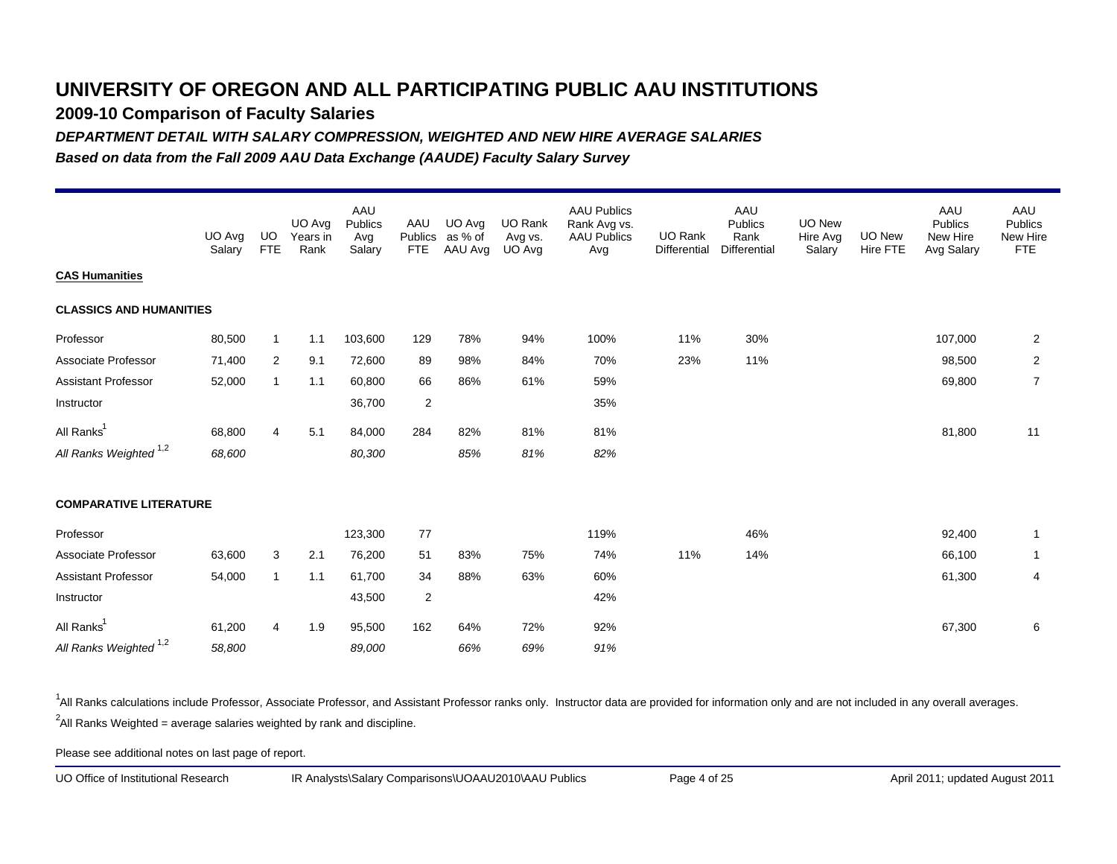**2009-10 Comparison of Faculty Salaries**

*DEPARTMENT DETAIL WITH SALARY COMPRESSION, WEIGHTED AND NEW HIRE AVERAGE SALARIES*

*Based on data from the Fall 2009 AAU Data Exchange (AAUDE) Faculty Salary Survey*

|                                   | UO Avg<br>Salary | UO.<br><b>FTE</b> | UO Avg<br>Years in<br>Rank | AAU<br>Publics<br>Avg<br>Salary | AAU<br>Publics<br><b>FTE</b> | UO Avg<br>as % of<br>AAU Avg | <b>UO Rank</b><br>Avg vs.<br>UO Avg | <b>AAU Publics</b><br>Rank Avg vs.<br><b>AAU Publics</b><br>Avg | <b>UO Rank</b><br>Differential | AAU<br><b>Publics</b><br>Rank<br><b>Differential</b> | <b>UO New</b><br>Hire Avg<br>Salary | <b>UO New</b><br>Hire FTE | AAU<br><b>Publics</b><br>New Hire<br>Avg Salary | AAU<br><b>Publics</b><br>New Hire<br><b>FTE</b> |
|-----------------------------------|------------------|-------------------|----------------------------|---------------------------------|------------------------------|------------------------------|-------------------------------------|-----------------------------------------------------------------|--------------------------------|------------------------------------------------------|-------------------------------------|---------------------------|-------------------------------------------------|-------------------------------------------------|
| <b>CAS Humanities</b>             |                  |                   |                            |                                 |                              |                              |                                     |                                                                 |                                |                                                      |                                     |                           |                                                 |                                                 |
| <b>CLASSICS AND HUMANITIES</b>    |                  |                   |                            |                                 |                              |                              |                                     |                                                                 |                                |                                                      |                                     |                           |                                                 |                                                 |
| Professor                         | 80,500           | $\mathbf{1}$      | 1.1                        | 103,600                         | 129                          | 78%                          | 94%                                 | 100%                                                            | 11%                            | 30%                                                  |                                     |                           | 107,000                                         | $\overline{2}$                                  |
| Associate Professor               | 71,400           | 2                 | 9.1                        | 72,600                          | 89                           | 98%                          | 84%                                 | 70%                                                             | 23%                            | 11%                                                  |                                     |                           | 98,500                                          | $\overline{2}$                                  |
| <b>Assistant Professor</b>        | 52,000           | $\overline{1}$    | 1.1                        | 60,800                          | 66                           | 86%                          | 61%                                 | 59%                                                             |                                |                                                      |                                     |                           | 69,800                                          | $\overline{7}$                                  |
| Instructor                        |                  |                   |                            | 36,700                          | $\overline{2}$               |                              |                                     | 35%                                                             |                                |                                                      |                                     |                           |                                                 |                                                 |
| All Ranks <sup>1</sup>            | 68,800           | $\overline{4}$    | 5.1                        | 84,000                          | 284                          | 82%                          | 81%                                 | 81%                                                             |                                |                                                      |                                     |                           | 81,800                                          | 11                                              |
| All Ranks Weighted <sup>1,2</sup> | 68,600           |                   |                            | 80,300                          |                              | 85%                          | 81%                                 | 82%                                                             |                                |                                                      |                                     |                           |                                                 |                                                 |
| <b>COMPARATIVE LITERATURE</b>     |                  |                   |                            |                                 |                              |                              |                                     |                                                                 |                                |                                                      |                                     |                           |                                                 |                                                 |
| Professor                         |                  |                   |                            | 123,300                         | 77                           |                              |                                     | 119%                                                            |                                | 46%                                                  |                                     |                           | 92,400                                          | $\mathbf{1}$                                    |
| Associate Professor               | 63,600           | 3                 | 2.1                        | 76,200                          | 51                           | 83%                          | 75%                                 | 74%                                                             | 11%                            | 14%                                                  |                                     |                           | 66,100                                          | $\mathbf{1}$                                    |
| <b>Assistant Professor</b>        | 54,000           | $\overline{1}$    | 1.1                        | 61,700                          | 34                           | 88%                          | 63%                                 | 60%                                                             |                                |                                                      |                                     |                           | 61,300                                          | 4                                               |
| Instructor                        |                  |                   |                            | 43,500                          | $\overline{2}$               |                              |                                     | 42%                                                             |                                |                                                      |                                     |                           |                                                 |                                                 |
| All Ranks <sup>1</sup>            | 61,200           | 4                 | 1.9                        | 95,500                          | 162                          | 64%                          | 72%                                 | 92%                                                             |                                |                                                      |                                     |                           | 67,300                                          | 6                                               |
| All Ranks Weighted <sup>1,2</sup> | 58,800           |                   |                            | 89,000                          |                              | 66%                          | 69%                                 | 91%                                                             |                                |                                                      |                                     |                           |                                                 |                                                 |

<sup>1</sup>All Ranks calculations include Professor, Associate Professor, and Assistant Professor ranks only. Instructor data are provided for information only and are not included in any overall averages.  $^2$ All Ranks Weighted = average salaries weighted by rank and discipline.

Please see additional notes on last page of report.

UO Office of Institutional Research IR Analysts\Salary Comparisons\UOAAU2010\AAU Publics Page 4 of 25 April 2011; updated August 2011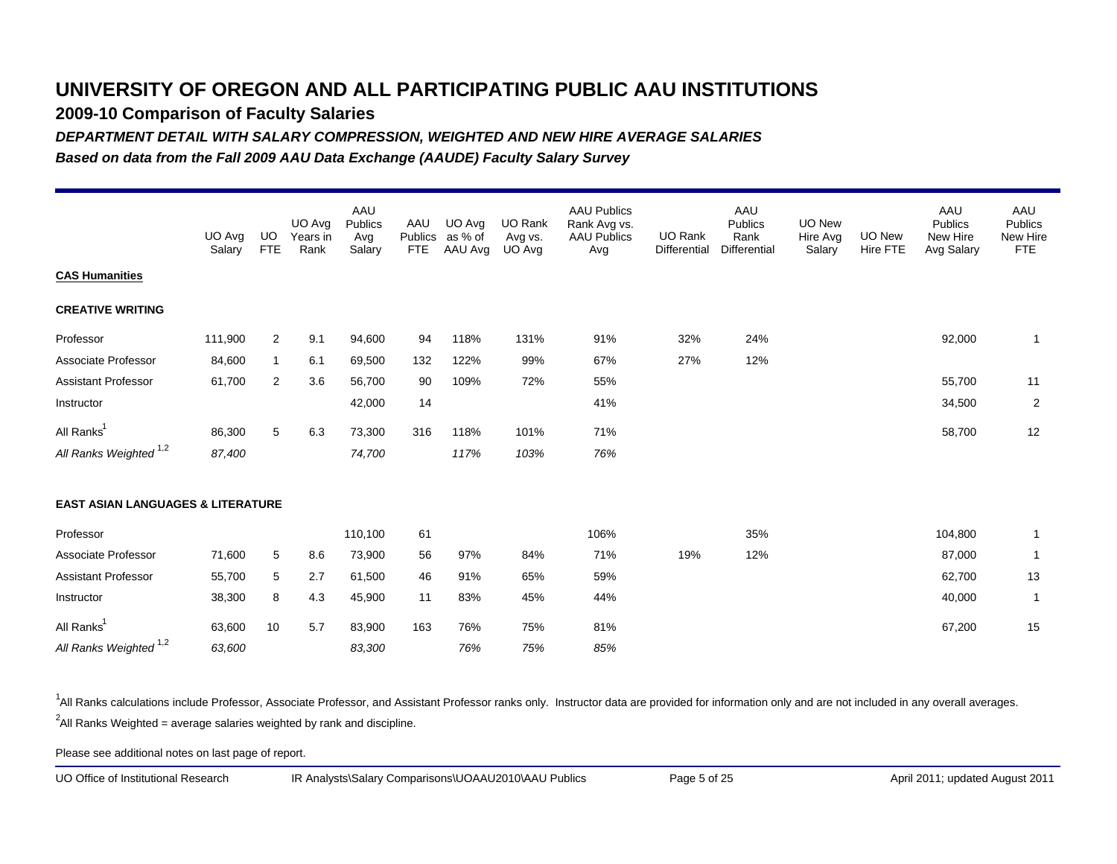**2009-10 Comparison of Faculty Salaries**

*DEPARTMENT DETAIL WITH SALARY COMPRESSION, WEIGHTED AND NEW HIRE AVERAGE SALARIES*

*Based on data from the Fall 2009 AAU Data Exchange (AAUDE) Faculty Salary Survey*

|                                              | UO Avg<br>Salary | <b>UO</b><br><b>FTE</b> | UO Avg<br>Years in<br>Rank | AAU<br>Publics<br>Avg<br>Salary | AAU<br>Publics<br><b>FTE</b> | UO Avg<br>as % of<br>AAU Avg | UO Rank<br>Avg vs.<br>UO Avg | <b>AAU Publics</b><br>Rank Avg vs.<br><b>AAU Publics</b><br>Avg | UO Rank<br>Differential | AAU<br>Publics<br>Rank<br><b>Differential</b> | UO New<br>Hire Avg<br>Salary | UO New<br>Hire FTE | AAU<br>Publics<br>New Hire<br>Avg Salary | AAU<br><b>Publics</b><br>New Hire<br><b>FTE</b> |
|----------------------------------------------|------------------|-------------------------|----------------------------|---------------------------------|------------------------------|------------------------------|------------------------------|-----------------------------------------------------------------|-------------------------|-----------------------------------------------|------------------------------|--------------------|------------------------------------------|-------------------------------------------------|
| <b>CAS Humanities</b>                        |                  |                         |                            |                                 |                              |                              |                              |                                                                 |                         |                                               |                              |                    |                                          |                                                 |
| <b>CREATIVE WRITING</b>                      |                  |                         |                            |                                 |                              |                              |                              |                                                                 |                         |                                               |                              |                    |                                          |                                                 |
| Professor                                    | 111,900          | $\overline{2}$          | 9.1                        | 94,600                          | 94                           | 118%                         | 131%                         | 91%                                                             | 32%                     | 24%                                           |                              |                    | 92,000                                   | $\mathbf{1}$                                    |
| Associate Professor                          | 84,600           | $\mathbf{1}$            | 6.1                        | 69,500                          | 132                          | 122%                         | 99%                          | 67%                                                             | 27%                     | 12%                                           |                              |                    |                                          |                                                 |
| <b>Assistant Professor</b>                   | 61,700           | $\overline{2}$          | 3.6                        | 56,700                          | 90                           | 109%                         | 72%                          | 55%                                                             |                         |                                               |                              |                    | 55,700                                   | 11                                              |
| Instructor                                   |                  |                         |                            | 42,000                          | 14                           |                              |                              | 41%                                                             |                         |                                               |                              |                    | 34,500                                   | $\overline{2}$                                  |
| All Ranks <sup>1</sup>                       | 86,300           | 5                       | 6.3                        | 73,300                          | 316                          | 118%                         | 101%                         | 71%                                                             |                         |                                               |                              |                    | 58,700                                   | 12                                              |
| All Ranks Weighted <sup>1,2</sup>            | 87,400           |                         |                            | 74,700                          |                              | 117%                         | 103%                         | 76%                                                             |                         |                                               |                              |                    |                                          |                                                 |
| <b>EAST ASIAN LANGUAGES &amp; LITERATURE</b> |                  |                         |                            |                                 |                              |                              |                              |                                                                 |                         |                                               |                              |                    |                                          |                                                 |
| Professor                                    |                  |                         |                            | 110,100                         | 61                           |                              |                              | 106%                                                            |                         | 35%                                           |                              |                    | 104,800                                  | -1                                              |
| Associate Professor                          | 71,600           | 5                       | 8.6                        | 73,900                          | 56                           | 97%                          | 84%                          | 71%                                                             | 19%                     | 12%                                           |                              |                    | 87,000                                   | $\mathbf{1}$                                    |
| <b>Assistant Professor</b>                   | 55,700           | 5                       | 2.7                        | 61,500                          | 46                           | 91%                          | 65%                          | 59%                                                             |                         |                                               |                              |                    | 62,700                                   | 13                                              |
| Instructor                                   | 38,300           | 8                       | 4.3                        | 45,900                          | 11                           | 83%                          | 45%                          | 44%                                                             |                         |                                               |                              |                    | 40,000                                   | $\mathbf{1}$                                    |
| All Ranks                                    | 63,600           | 10                      | 5.7                        | 83,900                          | 163                          | 76%                          | 75%                          | 81%                                                             |                         |                                               |                              |                    | 67,200                                   | 15                                              |
| All Ranks Weighted <sup>1,2</sup>            | 63,600           |                         |                            | 83,300                          |                              | 76%                          | 75%                          | 85%                                                             |                         |                                               |                              |                    |                                          |                                                 |

<sup>1</sup>All Ranks calculations include Professor, Associate Professor, and Assistant Professor ranks only. Instructor data are provided for information only and are not included in any overall averages.  $^2$ All Ranks Weighted = average salaries weighted by rank and discipline.

Please see additional notes on last page of report.

UO Office of Institutional Research IR Analysts\Salary Comparisons\UOAAU2010\AAU Publics Page 5 of 25 April 2011; updated August 2011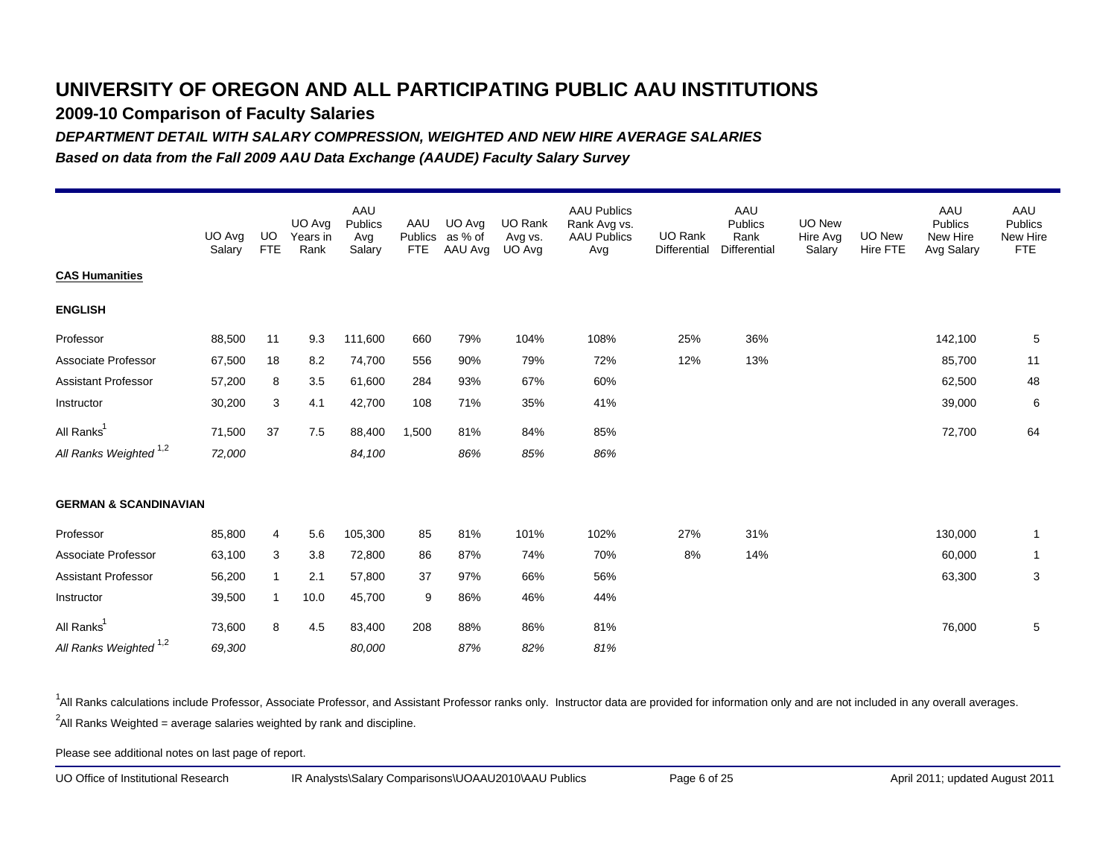**2009-10 Comparison of Faculty Salaries**

*DEPARTMENT DETAIL WITH SALARY COMPRESSION, WEIGHTED AND NEW HIRE AVERAGE SALARIES*

*Based on data from the Fall 2009 AAU Data Exchange (AAUDE) Faculty Salary Survey*

|                                   | UO Avg<br>Salary | UO.<br><b>FTE</b> | UO Avg<br>Years in<br>Rank | AAU<br>Publics<br>Avg<br>Salary | AAU<br>Publics<br><b>FTE</b> | UO Avg<br>as % of<br>AAU Avg | UO Rank<br>Avg vs.<br>UO Avg | <b>AAU Publics</b><br>Rank Avg vs.<br><b>AAU Publics</b><br>Avg | <b>UO Rank</b><br>Differential | AAU<br>Publics<br>Rank<br>Differential | <b>UO New</b><br>Hire Avg<br>Salary | <b>UO New</b><br>Hire FTE | AAU<br>Publics<br>New Hire<br>Avg Salary | AAU<br><b>Publics</b><br>New Hire<br><b>FTE</b> |
|-----------------------------------|------------------|-------------------|----------------------------|---------------------------------|------------------------------|------------------------------|------------------------------|-----------------------------------------------------------------|--------------------------------|----------------------------------------|-------------------------------------|---------------------------|------------------------------------------|-------------------------------------------------|
| <b>CAS Humanities</b>             |                  |                   |                            |                                 |                              |                              |                              |                                                                 |                                |                                        |                                     |                           |                                          |                                                 |
| <b>ENGLISH</b>                    |                  |                   |                            |                                 |                              |                              |                              |                                                                 |                                |                                        |                                     |                           |                                          |                                                 |
| Professor                         | 88,500           | 11                | 9.3                        | 111,600                         | 660                          | 79%                          | 104%                         | 108%                                                            | 25%                            | 36%                                    |                                     |                           | 142,100                                  | 5                                               |
| Associate Professor               | 67,500           | 18                | 8.2                        | 74,700                          | 556                          | 90%                          | 79%                          | 72%                                                             | 12%                            | 13%                                    |                                     |                           | 85,700                                   | 11                                              |
| <b>Assistant Professor</b>        | 57,200           | 8                 | 3.5                        | 61,600                          | 284                          | 93%                          | 67%                          | 60%                                                             |                                |                                        |                                     |                           | 62,500                                   | 48                                              |
| Instructor                        | 30,200           | 3                 | 4.1                        | 42,700                          | 108                          | 71%                          | 35%                          | 41%                                                             |                                |                                        |                                     |                           | 39,000                                   | 6                                               |
| All Ranks <sup>1</sup>            | 71,500           | 37                | 7.5                        | 88,400                          | 1,500                        | 81%                          | 84%                          | 85%                                                             |                                |                                        |                                     |                           | 72,700                                   | 64                                              |
| All Ranks Weighted <sup>1,2</sup> | 72,000           |                   |                            | 84,100                          |                              | 86%                          | 85%                          | 86%                                                             |                                |                                        |                                     |                           |                                          |                                                 |
| <b>GERMAN &amp; SCANDINAVIAN</b>  |                  |                   |                            |                                 |                              |                              |                              |                                                                 |                                |                                        |                                     |                           |                                          |                                                 |
| Professor                         | 85,800           | 4                 | 5.6                        | 105,300                         | 85                           | 81%                          | 101%                         | 102%                                                            | 27%                            | 31%                                    |                                     |                           | 130,000                                  | $\mathbf{1}$                                    |
| Associate Professor               | 63,100           | 3                 | 3.8                        | 72,800                          | 86                           | 87%                          | 74%                          | 70%                                                             | 8%                             | 14%                                    |                                     |                           | 60,000                                   | $\mathbf{1}$                                    |
| <b>Assistant Professor</b>        | 56,200           | $\mathbf{1}$      | 2.1                        | 57,800                          | 37                           | 97%                          | 66%                          | 56%                                                             |                                |                                        |                                     |                           | 63,300                                   | 3                                               |
| Instructor                        | 39,500           | 1                 | 10.0                       | 45,700                          | 9                            | 86%                          | 46%                          | 44%                                                             |                                |                                        |                                     |                           |                                          |                                                 |
| All Ranks <sup>1</sup>            | 73,600           | 8                 | 4.5                        | 83,400                          | 208                          | 88%                          | 86%                          | 81%                                                             |                                |                                        |                                     |                           | 76,000                                   | 5                                               |
| All Ranks Weighted <sup>1,2</sup> | 69,300           |                   |                            | 80,000                          |                              | 87%                          | 82%                          | 81%                                                             |                                |                                        |                                     |                           |                                          |                                                 |

<sup>1</sup>All Ranks calculations include Professor, Associate Professor, and Assistant Professor ranks only. Instructor data are provided for information only and are not included in any overall averages.  $^2$ All Ranks Weighted = average salaries weighted by rank and discipline.

Please see additional notes on last page of report.

UO Office of Institutional Research IR Analysts\Salary Comparisons\UOAAU2010\AAU Publics Page 6 of 25 April 2011; updated August 2011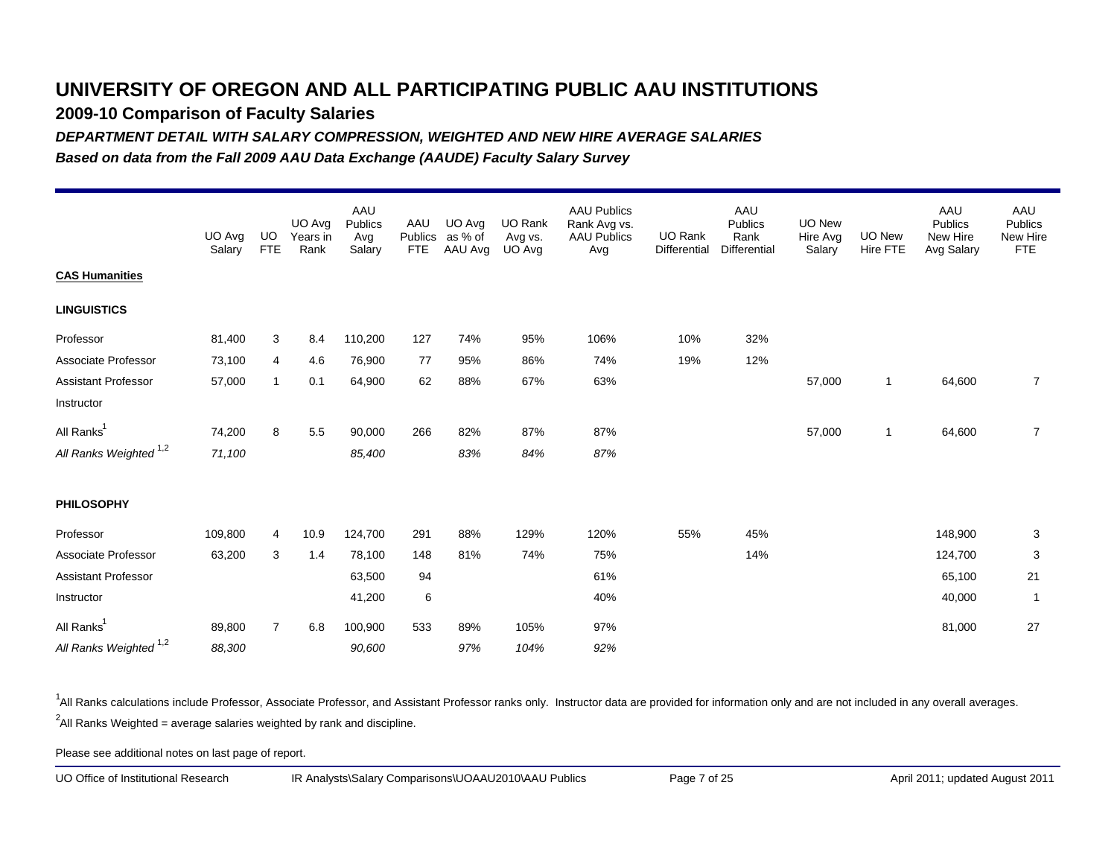**2009-10 Comparison of Faculty Salaries**

*DEPARTMENT DETAIL WITH SALARY COMPRESSION, WEIGHTED AND NEW HIRE AVERAGE SALARIES*

*Based on data from the Fall 2009 AAU Data Exchange (AAUDE) Faculty Salary Survey*

|                                   | UO Avg<br>Salary | <b>UO</b><br><b>FTE</b> | UO Avg<br>Years in<br>Rank | AAU<br>Publics<br>Avg<br>Salary | AAU<br>Publics<br><b>FTE</b> | UO Avg<br>as % of<br>AAU Avg | <b>UO Rank</b><br>Avg vs.<br>UO Avg | <b>AAU Publics</b><br>Rank Avg vs.<br><b>AAU Publics</b><br>Avg | <b>UO Rank</b><br>Differential | AAU<br>Publics<br>Rank<br>Differential | <b>UO New</b><br>Hire Avg<br>Salary | UO New<br>Hire FTE | AAU<br>Publics<br>New Hire<br>Avg Salary | AAU<br><b>Publics</b><br>New Hire<br><b>FTE</b> |
|-----------------------------------|------------------|-------------------------|----------------------------|---------------------------------|------------------------------|------------------------------|-------------------------------------|-----------------------------------------------------------------|--------------------------------|----------------------------------------|-------------------------------------|--------------------|------------------------------------------|-------------------------------------------------|
| <b>CAS Humanities</b>             |                  |                         |                            |                                 |                              |                              |                                     |                                                                 |                                |                                        |                                     |                    |                                          |                                                 |
| <b>LINGUISTICS</b>                |                  |                         |                            |                                 |                              |                              |                                     |                                                                 |                                |                                        |                                     |                    |                                          |                                                 |
| Professor                         | 81,400           | 3                       | 8.4                        | 110,200                         | 127                          | 74%                          | 95%                                 | 106%                                                            | 10%                            | 32%                                    |                                     |                    |                                          |                                                 |
| Associate Professor               | 73,100           | 4                       | 4.6                        | 76,900                          | 77                           | 95%                          | 86%                                 | 74%                                                             | 19%                            | 12%                                    |                                     |                    |                                          |                                                 |
| <b>Assistant Professor</b>        | 57,000           | $\mathbf{1}$            | 0.1                        | 64,900                          | 62                           | 88%                          | 67%                                 | 63%                                                             |                                |                                        | 57,000                              | $\overline{1}$     | 64,600                                   | $\overline{7}$                                  |
| Instructor                        |                  |                         |                            |                                 |                              |                              |                                     |                                                                 |                                |                                        |                                     |                    |                                          |                                                 |
| All Ranks <sup>1</sup>            | 74,200           | 8                       | 5.5                        | 90,000                          | 266                          | 82%                          | 87%                                 | 87%                                                             |                                |                                        | 57,000                              | $\mathbf{1}$       | 64,600                                   | $\overline{7}$                                  |
| All Ranks Weighted <sup>1,2</sup> | 71,100           |                         |                            | 85,400                          |                              | 83%                          | 84%                                 | 87%                                                             |                                |                                        |                                     |                    |                                          |                                                 |
| <b>PHILOSOPHY</b>                 |                  |                         |                            |                                 |                              |                              |                                     |                                                                 |                                |                                        |                                     |                    |                                          |                                                 |
| Professor                         | 109,800          | 4                       | 10.9                       | 124,700                         | 291                          | 88%                          | 129%                                | 120%                                                            | 55%                            | 45%                                    |                                     |                    | 148,900                                  | 3                                               |
| Associate Professor               | 63,200           | 3                       | 1.4                        | 78,100                          | 148                          | 81%                          | 74%                                 | 75%                                                             |                                | 14%                                    |                                     |                    | 124,700                                  | 3                                               |
| <b>Assistant Professor</b>        |                  |                         |                            | 63,500                          | 94                           |                              |                                     | 61%                                                             |                                |                                        |                                     |                    | 65,100                                   | 21                                              |
| Instructor                        |                  |                         |                            | 41,200                          | 6                            |                              |                                     | 40%                                                             |                                |                                        |                                     |                    | 40,000                                   | $\overline{1}$                                  |
| All Ranks <sup>1</sup>            | 89,800           | $\overline{7}$          | 6.8                        | 100,900                         | 533                          | 89%                          | 105%                                | 97%                                                             |                                |                                        |                                     |                    | 81,000                                   | 27                                              |
| All Ranks Weighted <sup>1,2</sup> | 88,300           |                         |                            | 90,600                          |                              | 97%                          | 104%                                | 92%                                                             |                                |                                        |                                     |                    |                                          |                                                 |

<sup>1</sup>All Ranks calculations include Professor, Associate Professor, and Assistant Professor ranks only. Instructor data are provided for information only and are not included in any overall averages.  $^2$ All Ranks Weighted = average salaries weighted by rank and discipline.

Please see additional notes on last page of report.

UO Office of Institutional Research IR Analysts\Salary Comparisons\UOAAU2010\AAU Publics Page 7 of 25 April 2011; updated August 2011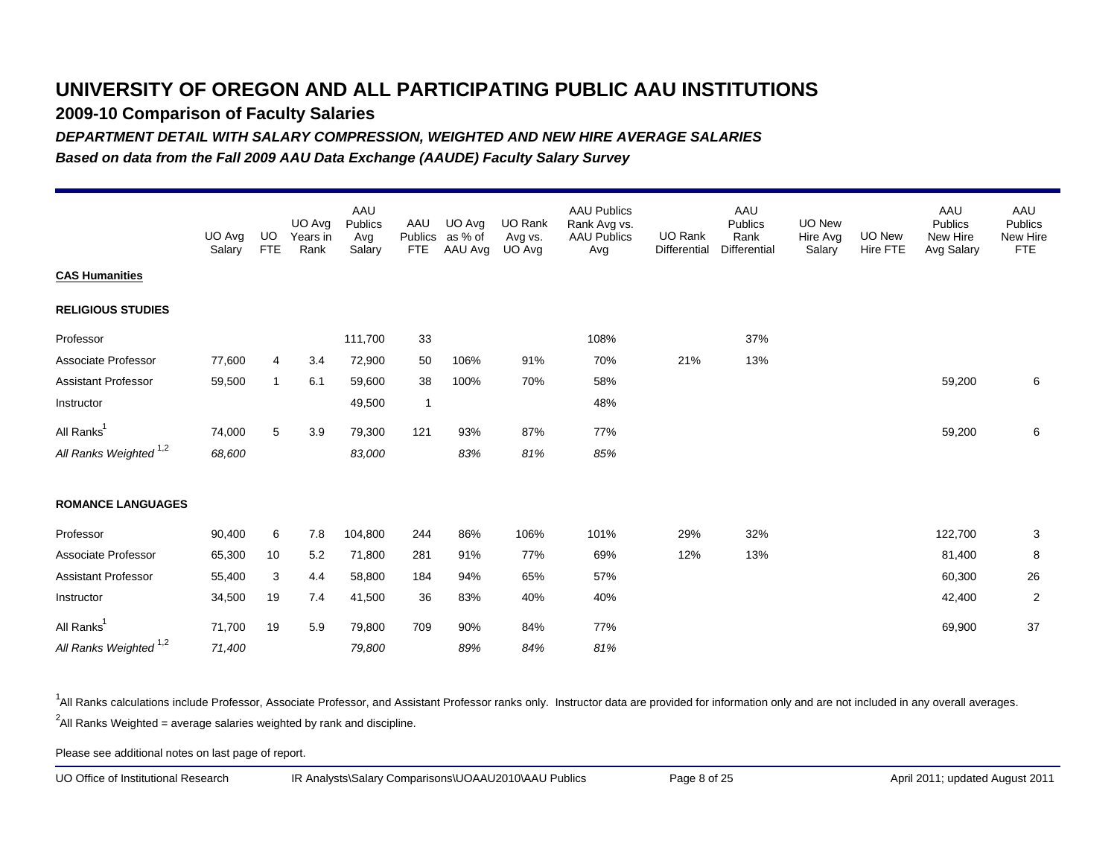**2009-10 Comparison of Faculty Salaries**

*DEPARTMENT DETAIL WITH SALARY COMPRESSION, WEIGHTED AND NEW HIRE AVERAGE SALARIES*

*Based on data from the Fall 2009 AAU Data Exchange (AAUDE) Faculty Salary Survey*

|                                   | UO Avg<br>Salary | UO.<br><b>FTE</b> | UO Avg<br>Years in<br>Rank | AAU<br>Publics<br>Avg<br>Salary | AAU<br>Publics<br><b>FTE</b> | UO Avg<br>as % of<br>AAU Avg | <b>UO Rank</b><br>Avg vs.<br>UO Avg | <b>AAU Publics</b><br>Rank Avg vs.<br><b>AAU Publics</b><br>Avg | <b>UO Rank</b><br>Differential | AAU<br><b>Publics</b><br>Rank<br>Differential | <b>UO New</b><br>Hire Avg<br>Salary | UO New<br>Hire FTE | AAU<br>Publics<br>New Hire<br>Avg Salary | AAU<br><b>Publics</b><br>New Hire<br><b>FTE</b> |
|-----------------------------------|------------------|-------------------|----------------------------|---------------------------------|------------------------------|------------------------------|-------------------------------------|-----------------------------------------------------------------|--------------------------------|-----------------------------------------------|-------------------------------------|--------------------|------------------------------------------|-------------------------------------------------|
| <b>CAS Humanities</b>             |                  |                   |                            |                                 |                              |                              |                                     |                                                                 |                                |                                               |                                     |                    |                                          |                                                 |
| <b>RELIGIOUS STUDIES</b>          |                  |                   |                            |                                 |                              |                              |                                     |                                                                 |                                |                                               |                                     |                    |                                          |                                                 |
| Professor                         |                  |                   |                            | 111,700                         | 33                           |                              |                                     | 108%                                                            |                                | 37%                                           |                                     |                    |                                          |                                                 |
| Associate Professor               | 77,600           | 4                 | 3.4                        | 72,900                          | 50                           | 106%                         | 91%                                 | 70%                                                             | 21%                            | 13%                                           |                                     |                    |                                          |                                                 |
| Assistant Professor               | 59,500           | $\mathbf{1}$      | 6.1                        | 59,600                          | 38                           | 100%                         | 70%                                 | 58%                                                             |                                |                                               |                                     |                    | 59,200                                   | 6                                               |
| Instructor                        |                  |                   |                            | 49,500                          | $\overline{1}$               |                              |                                     | 48%                                                             |                                |                                               |                                     |                    |                                          |                                                 |
| All Ranks <sup>1</sup>            | 74,000           | 5                 | 3.9                        | 79,300                          | 121                          | 93%                          | 87%                                 | 77%                                                             |                                |                                               |                                     |                    | 59,200                                   | 6                                               |
| All Ranks Weighted <sup>1,2</sup> | 68,600           |                   |                            | 83,000                          |                              | 83%                          | 81%                                 | 85%                                                             |                                |                                               |                                     |                    |                                          |                                                 |
| <b>ROMANCE LANGUAGES</b>          |                  |                   |                            |                                 |                              |                              |                                     |                                                                 |                                |                                               |                                     |                    |                                          |                                                 |
| Professor                         | 90,400           | 6                 | 7.8                        | 104,800                         | 244                          | 86%                          | 106%                                | 101%                                                            | 29%                            | 32%                                           |                                     |                    | 122,700                                  | 3                                               |
| Associate Professor               | 65,300           | 10                | 5.2                        | 71,800                          | 281                          | 91%                          | 77%                                 | 69%                                                             | 12%                            | 13%                                           |                                     |                    | 81,400                                   | 8                                               |
| Assistant Professor               | 55,400           | 3                 | 4.4                        | 58,800                          | 184                          | 94%                          | 65%                                 | 57%                                                             |                                |                                               |                                     |                    | 60,300                                   | 26                                              |
| Instructor                        | 34,500           | 19                | 7.4                        | 41,500                          | 36                           | 83%                          | 40%                                 | 40%                                                             |                                |                                               |                                     |                    | 42,400                                   | $\overline{2}$                                  |
| All Ranks <sup>1</sup>            | 71,700           | 19                | 5.9                        | 79,800                          | 709                          | 90%                          | 84%                                 | 77%                                                             |                                |                                               |                                     |                    | 69,900                                   | 37                                              |
| All Ranks Weighted <sup>1,2</sup> | 71,400           |                   |                            | 79,800                          |                              | 89%                          | 84%                                 | 81%                                                             |                                |                                               |                                     |                    |                                          |                                                 |

<sup>1</sup>All Ranks calculations include Professor, Associate Professor, and Assistant Professor ranks only. Instructor data are provided for information only and are not included in any overall averages.  $^2$ All Ranks Weighted = average salaries weighted by rank and discipline.

Please see additional notes on last page of report.

UO Office of Institutional Research IR Analysts\Salary Comparisons\UOAAU2010\AAU Publics Page 8 of 25 April 2011; updated August 2011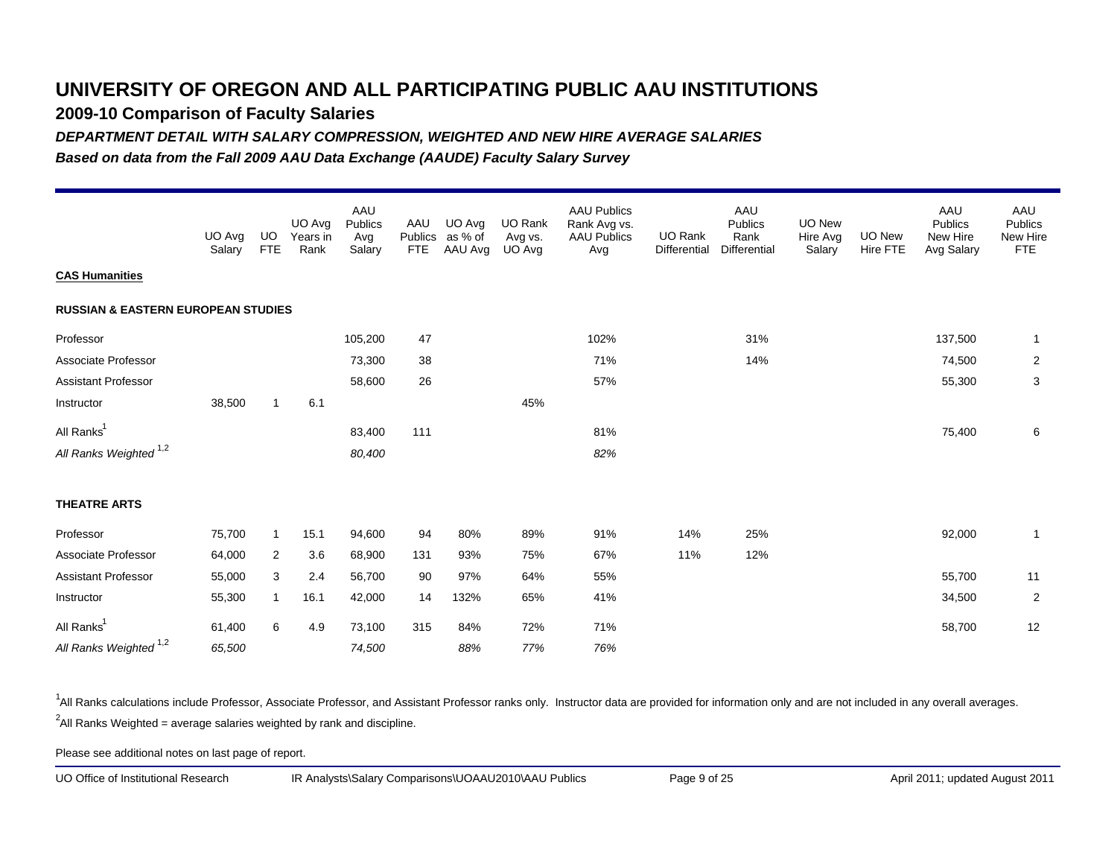**2009-10 Comparison of Faculty Salaries**

*DEPARTMENT DETAIL WITH SALARY COMPRESSION, WEIGHTED AND NEW HIRE AVERAGE SALARIES*

*Based on data from the Fall 2009 AAU Data Exchange (AAUDE) Faculty Salary Survey*

|                                               | UO Avg<br>Salary | UO.<br><b>FTE</b> | UO Avg<br>Years in<br>Rank | AAU<br>Publics<br>Avg<br>Salary | AAU<br>Publics<br><b>FTE</b> | UO Avg<br>as % of<br>AAU Avg | UO Rank<br>Avg vs.<br>UO Avg | <b>AAU Publics</b><br>Rank Avg vs.<br><b>AAU Publics</b><br>Avg | <b>UO Rank</b><br>Differential | AAU<br>Publics<br>Rank<br>Differential | <b>UO New</b><br>Hire Avg<br>Salary | UO New<br>Hire FTE | AAU<br>Publics<br>New Hire<br>Avg Salary | AAU<br><b>Publics</b><br>New Hire<br><b>FTE</b> |
|-----------------------------------------------|------------------|-------------------|----------------------------|---------------------------------|------------------------------|------------------------------|------------------------------|-----------------------------------------------------------------|--------------------------------|----------------------------------------|-------------------------------------|--------------------|------------------------------------------|-------------------------------------------------|
| <b>CAS Humanities</b>                         |                  |                   |                            |                                 |                              |                              |                              |                                                                 |                                |                                        |                                     |                    |                                          |                                                 |
| <b>RUSSIAN &amp; EASTERN EUROPEAN STUDIES</b> |                  |                   |                            |                                 |                              |                              |                              |                                                                 |                                |                                        |                                     |                    |                                          |                                                 |
| Professor                                     |                  |                   |                            | 105,200                         | 47                           |                              |                              | 102%                                                            |                                | 31%                                    |                                     |                    | 137,500                                  | $\mathbf{1}$                                    |
| Associate Professor                           |                  |                   |                            | 73,300                          | 38                           |                              |                              | 71%                                                             |                                | 14%                                    |                                     |                    | 74,500                                   | $\overline{2}$                                  |
| <b>Assistant Professor</b>                    |                  |                   |                            | 58,600                          | 26                           |                              |                              | 57%                                                             |                                |                                        |                                     |                    | 55,300                                   | 3                                               |
| Instructor                                    | 38,500           | $\mathbf{1}$      | 6.1                        |                                 |                              |                              | 45%                          |                                                                 |                                |                                        |                                     |                    |                                          |                                                 |
| All Ranks <sup>1</sup>                        |                  |                   |                            | 83,400                          | 111                          |                              |                              | 81%                                                             |                                |                                        |                                     |                    | 75,400                                   | 6                                               |
| All Ranks Weighted <sup>1,2</sup>             |                  |                   |                            | 80,400                          |                              |                              |                              | 82%                                                             |                                |                                        |                                     |                    |                                          |                                                 |
| <b>THEATRE ARTS</b>                           |                  |                   |                            |                                 |                              |                              |                              |                                                                 |                                |                                        |                                     |                    |                                          |                                                 |
| Professor                                     | 75,700           | $\mathbf{1}$      | 15.1                       | 94,600                          | 94                           | 80%                          | 89%                          | 91%                                                             | 14%                            | 25%                                    |                                     |                    | 92,000                                   | $\mathbf{1}$                                    |
| Associate Professor                           | 64,000           | $\overline{2}$    | 3.6                        | 68,900                          | 131                          | 93%                          | 75%                          | 67%                                                             | 11%                            | 12%                                    |                                     |                    |                                          |                                                 |
| <b>Assistant Professor</b>                    | 55,000           | 3                 | 2.4                        | 56,700                          | 90                           | 97%                          | 64%                          | 55%                                                             |                                |                                        |                                     |                    | 55,700                                   | 11                                              |
| Instructor                                    | 55,300           | $\mathbf 1$       | 16.1                       | 42,000                          | 14                           | 132%                         | 65%                          | 41%                                                             |                                |                                        |                                     |                    | 34,500                                   | $\overline{2}$                                  |
| All Ranks <sup>1</sup>                        | 61,400           | 6                 | 4.9                        | 73,100                          | 315                          | 84%                          | 72%                          | 71%                                                             |                                |                                        |                                     |                    | 58,700                                   | 12                                              |
| All Ranks Weighted <sup>1,2</sup>             | 65,500           |                   |                            | 74,500                          |                              | 88%                          | 77%                          | 76%                                                             |                                |                                        |                                     |                    |                                          |                                                 |

<sup>1</sup>All Ranks calculations include Professor, Associate Professor, and Assistant Professor ranks only. Instructor data are provided for information only and are not included in any overall averages.  $^2$ All Ranks Weighted = average salaries weighted by rank and discipline.

Please see additional notes on last page of report.

UO Office of Institutional Research IR Analysts\Salary Comparisons\UOAAU2010\AAU Publics Page 9 of 25 April 2011; updated August 2011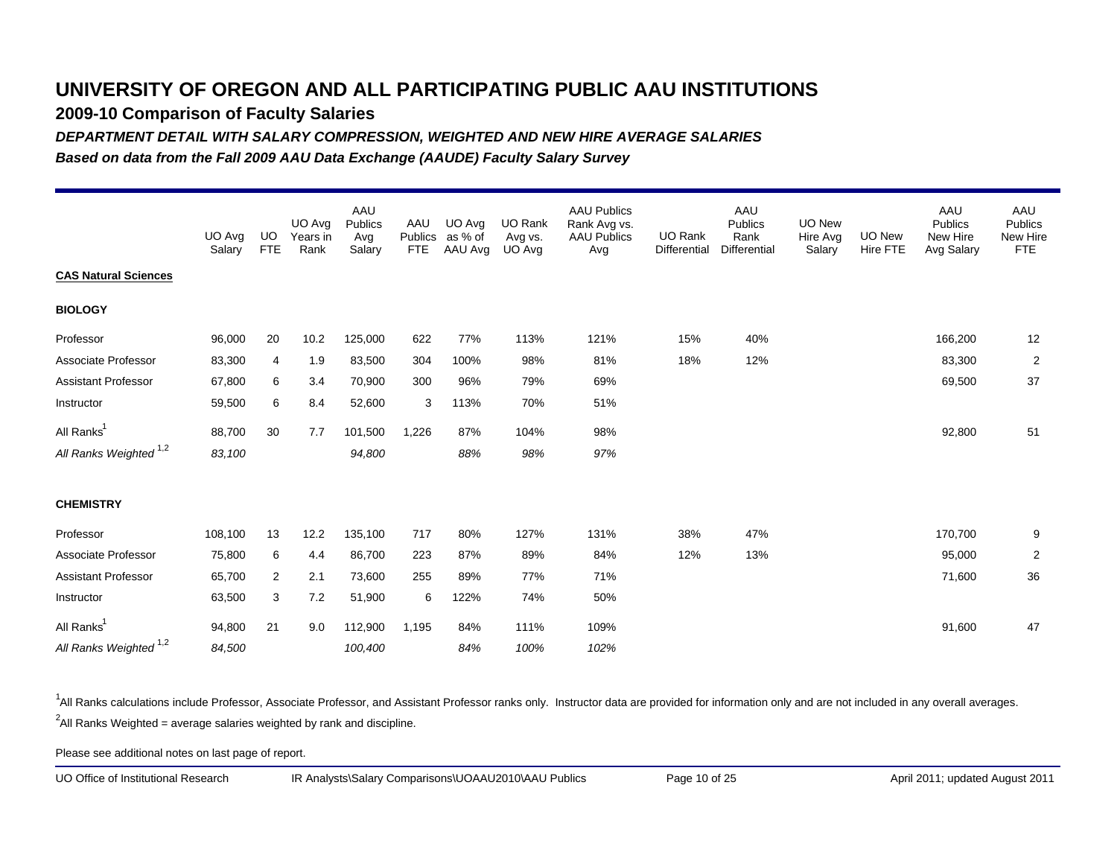**2009-10 Comparison of Faculty Salaries**

*DEPARTMENT DETAIL WITH SALARY COMPRESSION, WEIGHTED AND NEW HIRE AVERAGE SALARIES*

*Based on data from the Fall 2009 AAU Data Exchange (AAUDE) Faculty Salary Survey*

|                                   | UO Avg<br>Salary | UO.<br><b>FTE</b> | UO Avg<br>Years in<br>Rank | AAU<br>Publics<br>Avg<br>Salary | AAU<br>Publics<br><b>FTE</b> | UO Avg<br>as % of<br>AAU Avg | UO Rank<br>Avg vs.<br>UO Avg | <b>AAU Publics</b><br>Rank Avg vs.<br><b>AAU Publics</b><br>Avg | UO Rank<br>Differential | AAU<br>Publics<br>Rank<br>Differential | UO New<br>Hire Avg<br>Salary | <b>UO New</b><br>Hire FTE | AAU<br>Publics<br>New Hire<br>Avg Salary | AAU<br><b>Publics</b><br>New Hire<br><b>FTE</b> |
|-----------------------------------|------------------|-------------------|----------------------------|---------------------------------|------------------------------|------------------------------|------------------------------|-----------------------------------------------------------------|-------------------------|----------------------------------------|------------------------------|---------------------------|------------------------------------------|-------------------------------------------------|
| <b>CAS Natural Sciences</b>       |                  |                   |                            |                                 |                              |                              |                              |                                                                 |                         |                                        |                              |                           |                                          |                                                 |
| <b>BIOLOGY</b>                    |                  |                   |                            |                                 |                              |                              |                              |                                                                 |                         |                                        |                              |                           |                                          |                                                 |
| Professor                         | 96,000           | 20                | 10.2                       | 125,000                         | 622                          | 77%                          | 113%                         | 121%                                                            | 15%                     | 40%                                    |                              |                           | 166,200                                  | 12                                              |
| Associate Professor               | 83,300           | 4                 | 1.9                        | 83,500                          | 304                          | 100%                         | 98%                          | 81%                                                             | 18%                     | 12%                                    |                              |                           | 83,300                                   | $\overline{2}$                                  |
| <b>Assistant Professor</b>        | 67,800           | 6                 | 3.4                        | 70,900                          | 300                          | 96%                          | 79%                          | 69%                                                             |                         |                                        |                              |                           | 69,500                                   | 37                                              |
| Instructor                        | 59,500           | 6                 | 8.4                        | 52,600                          | 3                            | 113%                         | 70%                          | 51%                                                             |                         |                                        |                              |                           |                                          |                                                 |
| All Ranks <sup>1</sup>            | 88,700           | 30                | 7.7                        | 101,500                         | 1,226                        | 87%                          | 104%                         | 98%                                                             |                         |                                        |                              |                           | 92,800                                   | 51                                              |
| All Ranks Weighted <sup>1,2</sup> | 83,100           |                   |                            | 94,800                          |                              | 88%                          | 98%                          | 97%                                                             |                         |                                        |                              |                           |                                          |                                                 |
| <b>CHEMISTRY</b>                  |                  |                   |                            |                                 |                              |                              |                              |                                                                 |                         |                                        |                              |                           |                                          |                                                 |
| Professor                         | 108,100          | 13                | 12.2                       | 135,100                         | 717                          | 80%                          | 127%                         | 131%                                                            | 38%                     | 47%                                    |                              |                           | 170,700                                  | 9                                               |
| Associate Professor               | 75,800           | 6                 | 4.4                        | 86,700                          | 223                          | 87%                          | 89%                          | 84%                                                             | 12%                     | 13%                                    |                              |                           | 95,000                                   | $\overline{2}$                                  |
| <b>Assistant Professor</b>        | 65,700           | 2                 | 2.1                        | 73,600                          | 255                          | 89%                          | 77%                          | 71%                                                             |                         |                                        |                              |                           | 71,600                                   | 36                                              |
| Instructor                        | 63,500           | 3                 | 7.2                        | 51,900                          | 6                            | 122%                         | 74%                          | 50%                                                             |                         |                                        |                              |                           |                                          |                                                 |
| All Ranks <sup>1</sup>            | 94,800           | 21                | 9.0                        | 112,900                         | 1,195                        | 84%                          | 111%                         | 109%                                                            |                         |                                        |                              |                           | 91,600                                   | 47                                              |
| All Ranks Weighted <sup>1,2</sup> | 84,500           |                   |                            | 100,400                         |                              | 84%                          | 100%                         | 102%                                                            |                         |                                        |                              |                           |                                          |                                                 |

<sup>1</sup>All Ranks calculations include Professor, Associate Professor, and Assistant Professor ranks only. Instructor data are provided for information only and are not included in any overall averages.  $^2$ All Ranks Weighted = average salaries weighted by rank and discipline.

Please see additional notes on last page of report.

UO Office of Institutional Research IR Analysts\Salary Comparisons\UOAAU2010\AAU Publics Page 10 of 25 April 2011; updated August 2011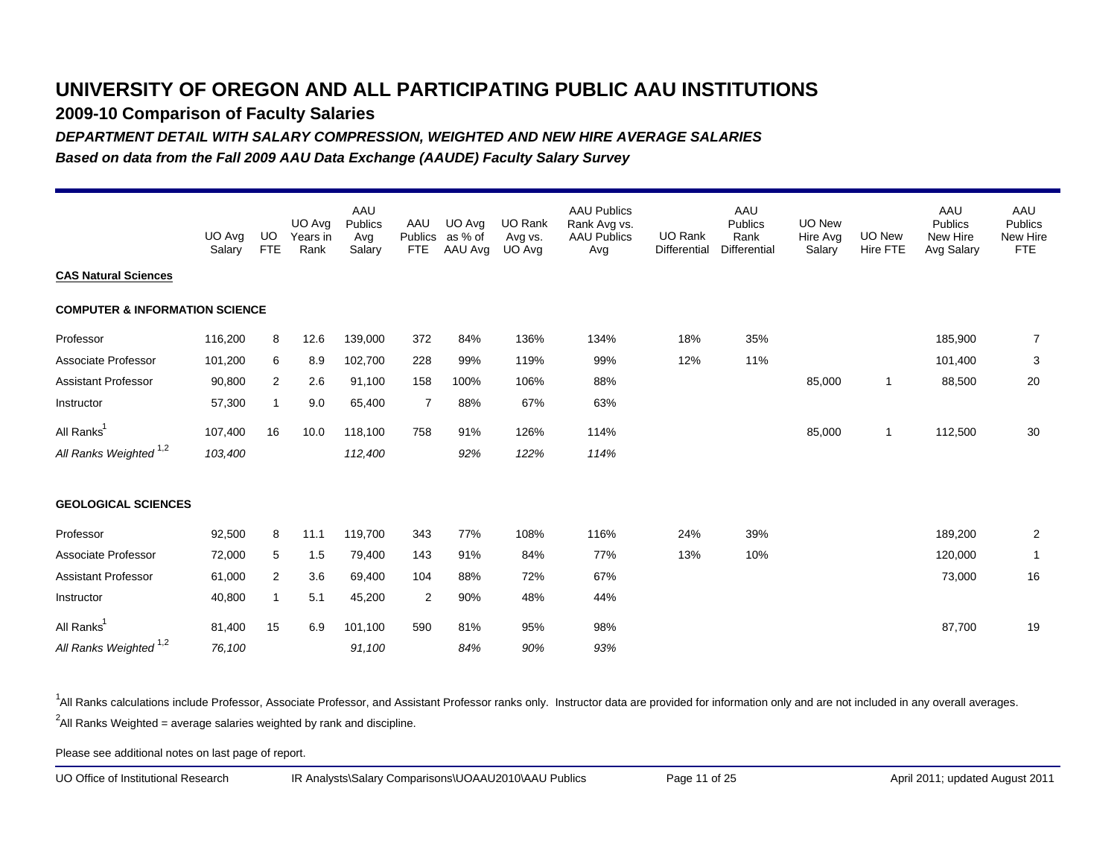**2009-10 Comparison of Faculty Salaries**

*DEPARTMENT DETAIL WITH SALARY COMPRESSION, WEIGHTED AND NEW HIRE AVERAGE SALARIES*

*Based on data from the Fall 2009 AAU Data Exchange (AAUDE) Faculty Salary Survey*

|                                           | UO Avg<br>Salary | <b>UO</b><br><b>FTE</b> | UO Avg<br>Years in<br>Rank | AAU<br>Publics<br>Avg<br>Salary | AAU<br>Publics<br><b>FTE</b> | UO Avg<br>as % of<br>AAU Avg | <b>UO Rank</b><br>Avg vs.<br>UO Avg | <b>AAU Publics</b><br>Rank Avg vs.<br><b>AAU Publics</b><br>Avg | UO Rank<br>Differential | AAU<br>Publics<br>Rank<br><b>Differential</b> | UO New<br>Hire Avg<br>Salary | UO New<br>Hire FTE | AAU<br>Publics<br>New Hire<br>Avg Salary | AAU<br><b>Publics</b><br>New Hire<br><b>FTE</b> |
|-------------------------------------------|------------------|-------------------------|----------------------------|---------------------------------|------------------------------|------------------------------|-------------------------------------|-----------------------------------------------------------------|-------------------------|-----------------------------------------------|------------------------------|--------------------|------------------------------------------|-------------------------------------------------|
| <b>CAS Natural Sciences</b>               |                  |                         |                            |                                 |                              |                              |                                     |                                                                 |                         |                                               |                              |                    |                                          |                                                 |
| <b>COMPUTER &amp; INFORMATION SCIENCE</b> |                  |                         |                            |                                 |                              |                              |                                     |                                                                 |                         |                                               |                              |                    |                                          |                                                 |
| Professor                                 | 116,200          | 8                       | 12.6                       | 139,000                         | 372                          | 84%                          | 136%                                | 134%                                                            | 18%                     | 35%                                           |                              |                    | 185,900                                  | $\overline{7}$                                  |
| Associate Professor                       | 101,200          | 6                       | 8.9                        | 102,700                         | 228                          | 99%                          | 119%                                | 99%                                                             | 12%                     | 11%                                           |                              |                    | 101,400                                  | 3                                               |
| <b>Assistant Professor</b>                | 90,800           | $\overline{2}$          | 2.6                        | 91,100                          | 158                          | 100%                         | 106%                                | 88%                                                             |                         |                                               | 85,000                       | $\overline{1}$     | 88,500                                   | 20                                              |
| Instructor                                | 57,300           | 1                       | 9.0                        | 65,400                          | $\overline{7}$               | 88%                          | 67%                                 | 63%                                                             |                         |                                               |                              |                    |                                          |                                                 |
| All Ranks <sup>1</sup>                    | 107,400          | 16                      | 10.0                       | 118,100                         | 758                          | 91%                          | 126%                                | 114%                                                            |                         |                                               | 85,000                       | $\overline{1}$     | 112,500                                  | 30                                              |
| All Ranks Weighted <sup>1,2</sup>         | 103,400          |                         |                            | 112,400                         |                              | 92%                          | 122%                                | 114%                                                            |                         |                                               |                              |                    |                                          |                                                 |
| <b>GEOLOGICAL SCIENCES</b>                |                  |                         |                            |                                 |                              |                              |                                     |                                                                 |                         |                                               |                              |                    |                                          |                                                 |
| Professor                                 | 92,500           | 8                       | 11.1                       | 119,700                         | 343                          | 77%                          | 108%                                | 116%                                                            | 24%                     | 39%                                           |                              |                    | 189,200                                  | $\overline{2}$                                  |
| Associate Professor                       | 72,000           | 5                       | 1.5                        | 79,400                          | 143                          | 91%                          | 84%                                 | 77%                                                             | 13%                     | 10%                                           |                              |                    | 120,000                                  | $\mathbf{1}$                                    |
| <b>Assistant Professor</b>                | 61,000           | $\overline{2}$          | 3.6                        | 69,400                          | 104                          | 88%                          | 72%                                 | 67%                                                             |                         |                                               |                              |                    | 73,000                                   | 16                                              |
| Instructor                                | 40,800           | 1                       | 5.1                        | 45,200                          | $\overline{2}$               | 90%                          | 48%                                 | 44%                                                             |                         |                                               |                              |                    |                                          |                                                 |
| All Ranks                                 | 81,400           | 15                      | 6.9                        | 101,100                         | 590                          | 81%                          | 95%                                 | 98%                                                             |                         |                                               |                              |                    | 87,700                                   | 19                                              |
| All Ranks Weighted <sup>1,2</sup>         | 76,100           |                         |                            | 91,100                          |                              | 84%                          | 90%                                 | 93%                                                             |                         |                                               |                              |                    |                                          |                                                 |

<sup>1</sup>All Ranks calculations include Professor, Associate Professor, and Assistant Professor ranks only. Instructor data are provided for information only and are not included in any overall averages.  $^2$ All Ranks Weighted = average salaries weighted by rank and discipline.

Please see additional notes on last page of report.

UO Office of Institutional Research IR Analysts\Salary Comparisons\UOAAU2010\AAU Publics Page 11 of 25 April 2011; updated August 2011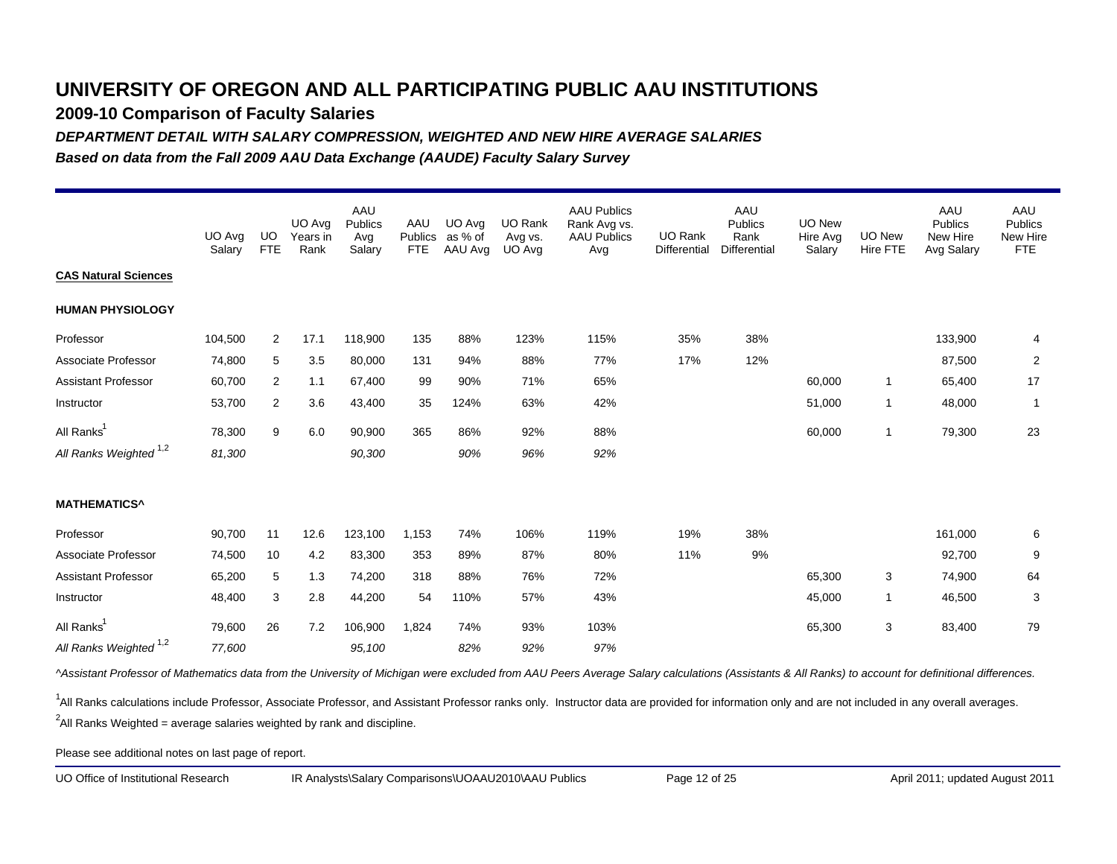**2009-10 Comparison of Faculty Salaries**

*DEPARTMENT DETAIL WITH SALARY COMPRESSION, WEIGHTED AND NEW HIRE AVERAGE SALARIES*

*Based on data from the Fall 2009 AAU Data Exchange (AAUDE) Faculty Salary Survey*

|                                   | UO Avg<br>Salary | <b>UO</b><br><b>FTE</b> | UO Avg<br>Years in<br>Rank | AAU<br>Publics<br>Avg<br>Salary | AAU<br>Publics<br><b>FTE</b> | UO Avg<br>as % of<br>AAU Avg | UO Rank<br>Avg vs.<br>UO Avg | <b>AAU Publics</b><br>Rank Avg vs.<br><b>AAU Publics</b><br>Avg | UO Rank<br>Differential | AAU<br>Publics<br>Rank<br>Differential | <b>UO New</b><br>Hire Avg<br>Salary | UO New<br>Hire FTE | AAU<br><b>Publics</b><br>New Hire<br>Avg Salary | AAU<br><b>Publics</b><br>New Hire<br><b>FTE</b> |
|-----------------------------------|------------------|-------------------------|----------------------------|---------------------------------|------------------------------|------------------------------|------------------------------|-----------------------------------------------------------------|-------------------------|----------------------------------------|-------------------------------------|--------------------|-------------------------------------------------|-------------------------------------------------|
| <b>CAS Natural Sciences</b>       |                  |                         |                            |                                 |                              |                              |                              |                                                                 |                         |                                        |                                     |                    |                                                 |                                                 |
| <b>HUMAN PHYSIOLOGY</b>           |                  |                         |                            |                                 |                              |                              |                              |                                                                 |                         |                                        |                                     |                    |                                                 |                                                 |
| Professor                         | 104,500          | 2                       | 17.1                       | 118,900                         | 135                          | 88%                          | 123%                         | 115%                                                            | 35%                     | 38%                                    |                                     |                    | 133,900                                         | 4                                               |
| Associate Professor               | 74,800           | 5                       | 3.5                        | 80,000                          | 131                          | 94%                          | 88%                          | 77%                                                             | 17%                     | 12%                                    |                                     |                    | 87,500                                          | $\overline{2}$                                  |
| <b>Assistant Professor</b>        | 60,700           | $\overline{2}$          | 1.1                        | 67,400                          | 99                           | 90%                          | 71%                          | 65%                                                             |                         |                                        | 60,000                              | $\overline{1}$     | 65,400                                          | 17                                              |
| Instructor                        | 53,700           | $\overline{2}$          | 3.6                        | 43,400                          | 35                           | 124%                         | 63%                          | 42%                                                             |                         |                                        | 51,000                              | $\overline{1}$     | 48,000                                          | $\mathbf{1}$                                    |
| All Ranks <sup>1</sup>            | 78,300           | 9                       | 6.0                        | 90,900                          | 365                          | 86%                          | 92%                          | 88%                                                             |                         |                                        | 60,000                              | $\mathbf{1}$       | 79,300                                          | 23                                              |
| All Ranks Weighted <sup>1,2</sup> | 81,300           |                         |                            | 90,300                          |                              | 90%                          | 96%                          | 92%                                                             |                         |                                        |                                     |                    |                                                 |                                                 |
| <b>MATHEMATICS^</b>               |                  |                         |                            |                                 |                              |                              |                              |                                                                 |                         |                                        |                                     |                    |                                                 |                                                 |
| Professor                         | 90,700           | 11                      | 12.6                       | 123,100                         | 1,153                        | 74%                          | 106%                         | 119%                                                            | 19%                     | 38%                                    |                                     |                    | 161,000                                         | 6                                               |
| Associate Professor               | 74,500           | 10                      | 4.2                        | 83,300                          | 353                          | 89%                          | 87%                          | 80%                                                             | 11%                     | 9%                                     |                                     |                    | 92,700                                          | 9                                               |
| <b>Assistant Professor</b>        | 65,200           | 5                       | 1.3                        | 74,200                          | 318                          | 88%                          | 76%                          | 72%                                                             |                         |                                        | 65,300                              | 3                  | 74,900                                          | 64                                              |
| Instructor                        | 48,400           | 3                       | 2.8                        | 44,200                          | 54                           | 110%                         | 57%                          | 43%                                                             |                         |                                        | 45,000                              | $\overline{1}$     | 46,500                                          | 3                                               |
| All Ranks <sup>1</sup>            | 79,600           | 26                      | 7.2                        | 106,900                         | 1,824                        | 74%                          | 93%                          | 103%                                                            |                         |                                        | 65,300                              | 3                  | 83,400                                          | 79                                              |
| All Ranks Weighted <sup>1,2</sup> | 77,600           |                         |                            | 95,100                          |                              | 82%                          | 92%                          | 97%                                                             |                         |                                        |                                     |                    |                                                 |                                                 |

*^Assistant Professor of Mathematics data from the University of Michigan were excluded from AAU Peers Average Salary calculations (Assistants & All Ranks) to account for definitional differences.*

<sup>1</sup>All Ranks calculations include Professor, Associate Professor, and Assistant Professor ranks only. Instructor data are provided for information only and are not included in any overall averages.

 $^2$ All Ranks Weighted = average salaries weighted by rank and discipline.

Please see additional notes on last page of report.

UO Office of Institutional Research IR Analysts\Salary Comparisons\UOAAU2010\AAU Publics Page 12 of 25 April 2011; updated August 2011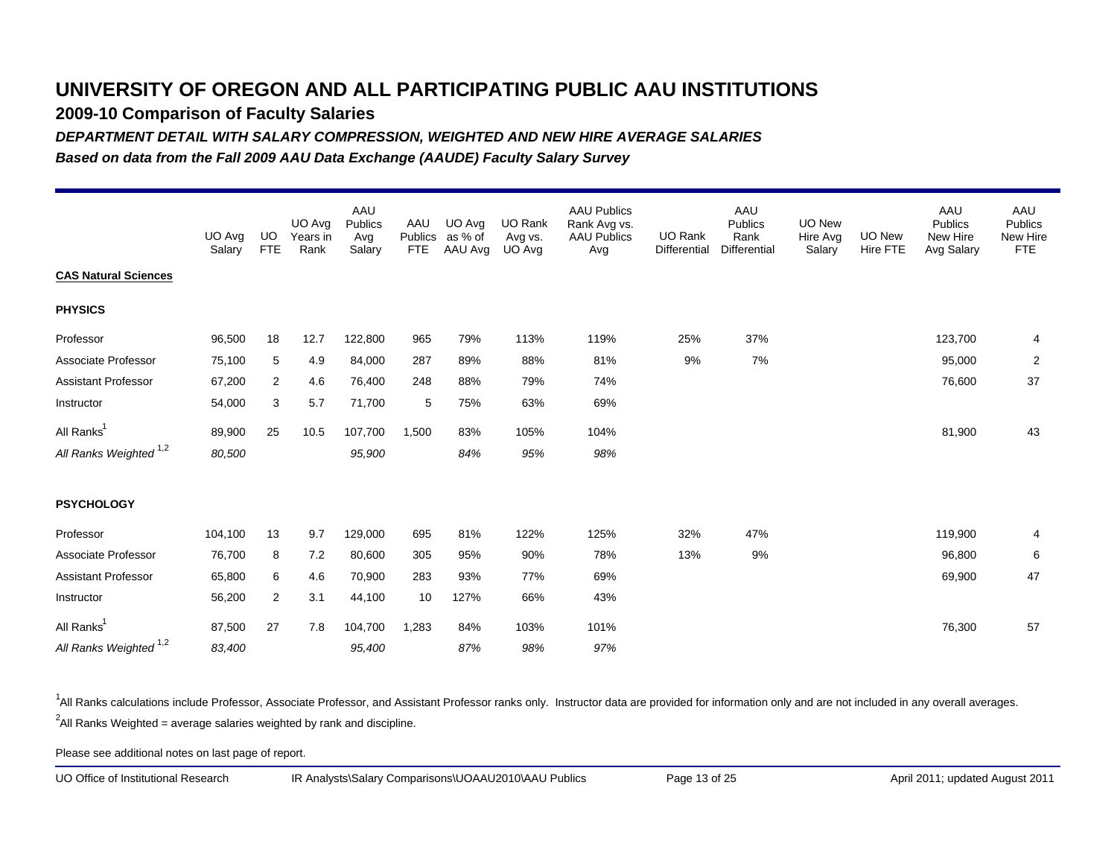**2009-10 Comparison of Faculty Salaries**

*DEPARTMENT DETAIL WITH SALARY COMPRESSION, WEIGHTED AND NEW HIRE AVERAGE SALARIES*

*Based on data from the Fall 2009 AAU Data Exchange (AAUDE) Faculty Salary Survey*

|                                   | UO Avg<br>Salary | UO.<br><b>FTE</b> | UO Avg<br>Years in<br>Rank | AAU<br>Publics<br>Avg<br>Salary | AAU<br>Publics<br><b>FTE</b> | UO Avg<br>as % of<br>AAU Avg | UO Rank<br>Avg vs.<br>UO Avg | <b>AAU Publics</b><br>Rank Avg vs.<br><b>AAU Publics</b><br>Avg | UO Rank<br>Differential | AAU<br>Publics<br>Rank<br>Differential | UO New<br>Hire Avg<br>Salary | <b>UO New</b><br>Hire FTE | AAU<br>Publics<br>New Hire<br>Avg Salary | AAU<br><b>Publics</b><br>New Hire<br><b>FTE</b> |
|-----------------------------------|------------------|-------------------|----------------------------|---------------------------------|------------------------------|------------------------------|------------------------------|-----------------------------------------------------------------|-------------------------|----------------------------------------|------------------------------|---------------------------|------------------------------------------|-------------------------------------------------|
| <b>CAS Natural Sciences</b>       |                  |                   |                            |                                 |                              |                              |                              |                                                                 |                         |                                        |                              |                           |                                          |                                                 |
| <b>PHYSICS</b>                    |                  |                   |                            |                                 |                              |                              |                              |                                                                 |                         |                                        |                              |                           |                                          |                                                 |
| Professor                         | 96,500           | 18                | 12.7                       | 122,800                         | 965                          | 79%                          | 113%                         | 119%                                                            | 25%                     | 37%                                    |                              |                           | 123,700                                  | 4                                               |
| Associate Professor               | 75,100           | 5                 | 4.9                        | 84,000                          | 287                          | 89%                          | 88%                          | 81%                                                             | 9%                      | 7%                                     |                              |                           | 95,000                                   | 2                                               |
| <b>Assistant Professor</b>        | 67,200           | $\overline{2}$    | 4.6                        | 76,400                          | 248                          | 88%                          | 79%                          | 74%                                                             |                         |                                        |                              |                           | 76,600                                   | 37                                              |
| Instructor                        | 54,000           | 3                 | 5.7                        | 71,700                          | 5                            | 75%                          | 63%                          | 69%                                                             |                         |                                        |                              |                           |                                          |                                                 |
| All Ranks <sup>1</sup>            | 89,900           | 25                | 10.5                       | 107,700                         | 1,500                        | 83%                          | 105%                         | 104%                                                            |                         |                                        |                              |                           | 81,900                                   | 43                                              |
| All Ranks Weighted <sup>1,2</sup> | 80,500           |                   |                            | 95,900                          |                              | 84%                          | 95%                          | 98%                                                             |                         |                                        |                              |                           |                                          |                                                 |
| <b>PSYCHOLOGY</b>                 |                  |                   |                            |                                 |                              |                              |                              |                                                                 |                         |                                        |                              |                           |                                          |                                                 |
| Professor                         | 104,100          | 13                | 9.7                        | 129,000                         | 695                          | 81%                          | 122%                         | 125%                                                            | 32%                     | 47%                                    |                              |                           | 119,900                                  | 4                                               |
| Associate Professor               | 76,700           | 8                 | 7.2                        | 80,600                          | 305                          | 95%                          | 90%                          | 78%                                                             | 13%                     | 9%                                     |                              |                           | 96,800                                   | 6                                               |
| <b>Assistant Professor</b>        | 65,800           | 6                 | 4.6                        | 70,900                          | 283                          | 93%                          | 77%                          | 69%                                                             |                         |                                        |                              |                           | 69,900                                   | 47                                              |
| Instructor                        | 56,200           | $\overline{2}$    | 3.1                        | 44,100                          | 10                           | 127%                         | 66%                          | 43%                                                             |                         |                                        |                              |                           |                                          |                                                 |
| All Ranks <sup>1</sup>            | 87,500           | 27                | 7.8                        | 104,700                         | 1,283                        | 84%                          | 103%                         | 101%                                                            |                         |                                        |                              |                           | 76,300                                   | 57                                              |
| All Ranks Weighted <sup>1,2</sup> | 83,400           |                   |                            | 95,400                          |                              | 87%                          | 98%                          | 97%                                                             |                         |                                        |                              |                           |                                          |                                                 |

<sup>1</sup>All Ranks calculations include Professor, Associate Professor, and Assistant Professor ranks only. Instructor data are provided for information only and are not included in any overall averages.  $^2$ All Ranks Weighted = average salaries weighted by rank and discipline.

Please see additional notes on last page of report.

UO Office of Institutional Research IR Analysts\Salary Comparisons\UOAAU2010\AAU Publics Page 13 of 25 April 2011; updated August 2011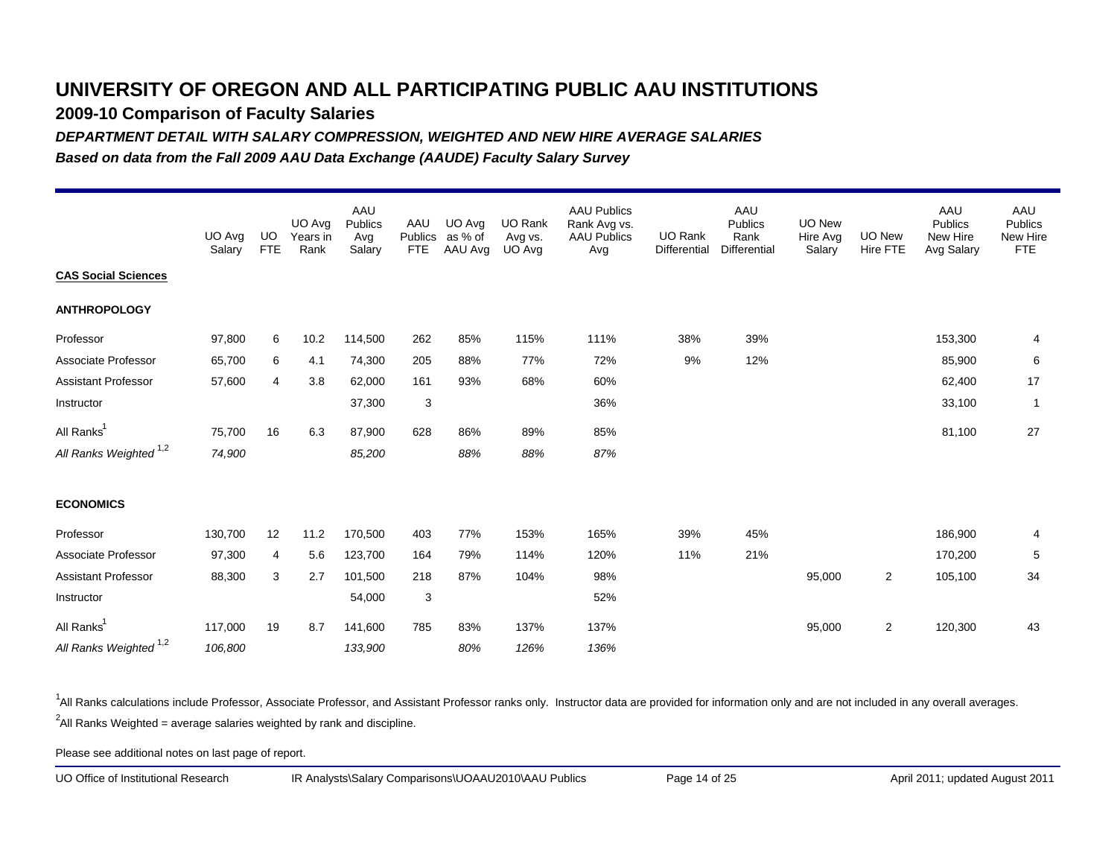**2009-10 Comparison of Faculty Salaries**

*DEPARTMENT DETAIL WITH SALARY COMPRESSION, WEIGHTED AND NEW HIRE AVERAGE SALARIES*

*Based on data from the Fall 2009 AAU Data Exchange (AAUDE) Faculty Salary Survey*

|                                   | UO Avg<br>Salary | <b>UO</b><br><b>FTE</b> | UO Avg<br>Years in<br>Rank | AAU<br>Publics<br>Avg<br>Salary | AAU<br>Publics<br><b>FTE</b> | UO Avg<br>as % of<br>AAU Avg | UO Rank<br>Avg vs.<br>UO Avg | <b>AAU Publics</b><br>Rank Avg vs.<br><b>AAU Publics</b><br>Avg | UO Rank<br>Differential | AAU<br>Publics<br>Rank<br><b>Differential</b> | <b>UO New</b><br>Hire Avg<br>Salary | UO New<br><b>Hire FTE</b> | AAU<br>Publics<br>New Hire<br>Avg Salary | AAU<br><b>Publics</b><br>New Hire<br><b>FTE</b> |
|-----------------------------------|------------------|-------------------------|----------------------------|---------------------------------|------------------------------|------------------------------|------------------------------|-----------------------------------------------------------------|-------------------------|-----------------------------------------------|-------------------------------------|---------------------------|------------------------------------------|-------------------------------------------------|
| <b>CAS Social Sciences</b>        |                  |                         |                            |                                 |                              |                              |                              |                                                                 |                         |                                               |                                     |                           |                                          |                                                 |
| <b>ANTHROPOLOGY</b>               |                  |                         |                            |                                 |                              |                              |                              |                                                                 |                         |                                               |                                     |                           |                                          |                                                 |
| Professor                         | 97,800           | 6                       | 10.2                       | 114,500                         | 262                          | 85%                          | 115%                         | 111%                                                            | 38%                     | 39%                                           |                                     |                           | 153,300                                  | 4                                               |
| Associate Professor               | 65,700           | 6                       | 4.1                        | 74,300                          | 205                          | 88%                          | 77%                          | 72%                                                             | 9%                      | 12%                                           |                                     |                           | 85,900                                   | 6                                               |
| <b>Assistant Professor</b>        | 57,600           | 4                       | 3.8                        | 62,000                          | 161                          | 93%                          | 68%                          | 60%                                                             |                         |                                               |                                     |                           | 62,400                                   | 17                                              |
| Instructor                        |                  |                         |                            | 37,300                          | $\sqrt{3}$                   |                              |                              | 36%                                                             |                         |                                               |                                     |                           | 33,100                                   | $\overline{1}$                                  |
| All Ranks <sup>1</sup>            | 75,700           | 16                      | 6.3                        | 87,900                          | 628                          | 86%                          | 89%                          | 85%                                                             |                         |                                               |                                     |                           | 81,100                                   | 27                                              |
| All Ranks Weighted <sup>1,2</sup> | 74,900           |                         |                            | 85,200                          |                              | 88%                          | 88%                          | 87%                                                             |                         |                                               |                                     |                           |                                          |                                                 |
| <b>ECONOMICS</b>                  |                  |                         |                            |                                 |                              |                              |                              |                                                                 |                         |                                               |                                     |                           |                                          |                                                 |
| Professor                         | 130,700          | 12                      | 11.2                       | 170,500                         | 403                          | 77%                          | 153%                         | 165%                                                            | 39%                     | 45%                                           |                                     |                           | 186,900                                  | 4                                               |
| Associate Professor               | 97,300           | 4                       | 5.6                        | 123,700                         | 164                          | 79%                          | 114%                         | 120%                                                            | 11%                     | 21%                                           |                                     |                           | 170,200                                  | 5                                               |
| Assistant Professor               | 88,300           | 3                       | 2.7                        | 101,500                         | 218                          | 87%                          | 104%                         | 98%                                                             |                         |                                               | 95,000                              | $\overline{2}$            | 105,100                                  | 34                                              |
| Instructor                        |                  |                         |                            | 54,000                          | 3                            |                              |                              | 52%                                                             |                         |                                               |                                     |                           |                                          |                                                 |
| All Ranks <sup>1</sup>            | 117,000          | 19                      | 8.7                        | 141,600                         | 785                          | 83%                          | 137%                         | 137%                                                            |                         |                                               | 95,000                              | 2                         | 120,300                                  | 43                                              |
| All Ranks Weighted <sup>1,2</sup> | 106,800          |                         |                            | 133,900                         |                              | 80%                          | 126%                         | 136%                                                            |                         |                                               |                                     |                           |                                          |                                                 |

<sup>1</sup>All Ranks calculations include Professor, Associate Professor, and Assistant Professor ranks only. Instructor data are provided for information only and are not included in any overall averages.  $^2$ All Ranks Weighted = average salaries weighted by rank and discipline.

Please see additional notes on last page of report.

UO Office of Institutional Research IR Analysts\Salary Comparisons\UOAAU2010\AAU Publics Page 14 of 25 April 2011; updated August 2011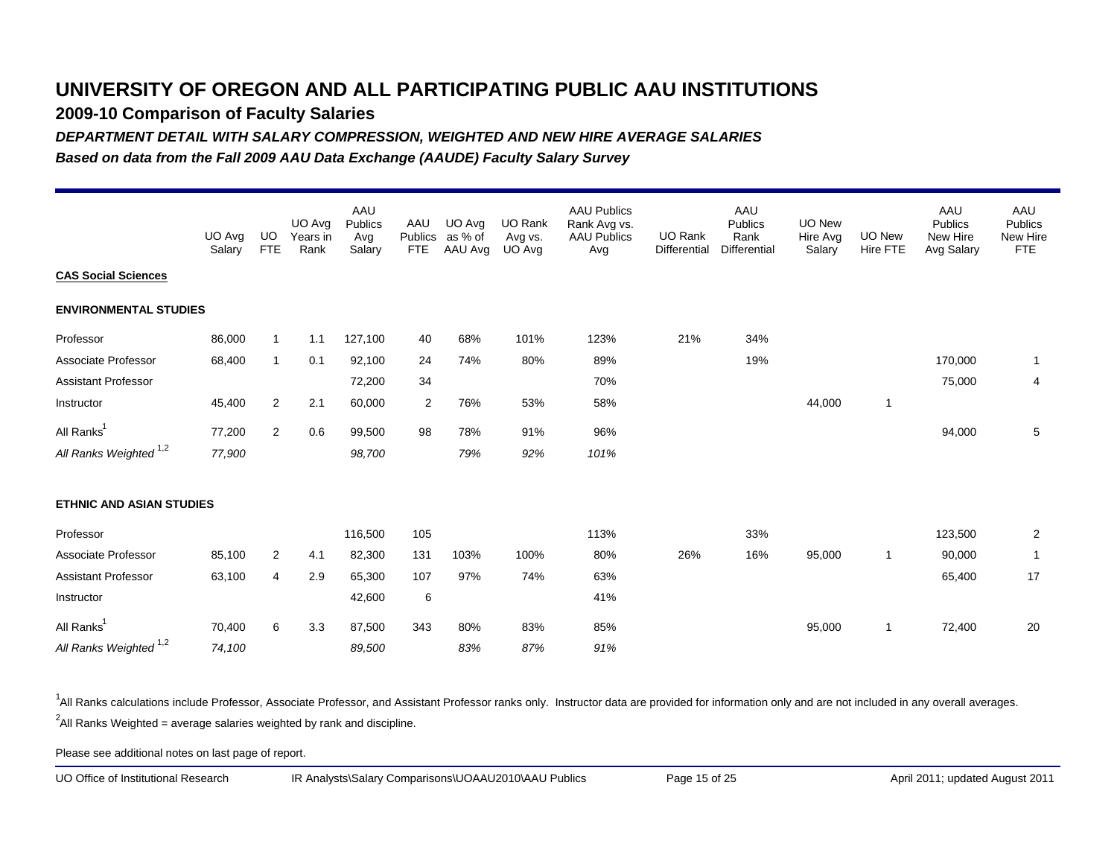**2009-10 Comparison of Faculty Salaries**

*DEPARTMENT DETAIL WITH SALARY COMPRESSION, WEIGHTED AND NEW HIRE AVERAGE SALARIES*

*Based on data from the Fall 2009 AAU Data Exchange (AAUDE) Faculty Salary Survey*

|                                   | UO Avg<br>Salary | UO.<br><b>FTE</b> | UO Avg<br>Years in<br>Rank | AAU<br>Publics<br>Avg<br>Salary | AAU<br>Publics<br><b>FTE</b> | UO Avg<br>as % of<br>AAU Avg | <b>UO Rank</b><br>Avg vs.<br>UO Avg | <b>AAU Publics</b><br>Rank Avg vs.<br><b>AAU Publics</b><br>Avg | <b>UO Rank</b><br>Differential | AAU<br>Publics<br>Rank<br>Differential | <b>UO New</b><br>Hire Avg<br>Salary | <b>UO New</b><br><b>Hire FTE</b> | AAU<br><b>Publics</b><br>New Hire<br>Avg Salary | AAU<br><b>Publics</b><br>New Hire<br><b>FTE</b> |
|-----------------------------------|------------------|-------------------|----------------------------|---------------------------------|------------------------------|------------------------------|-------------------------------------|-----------------------------------------------------------------|--------------------------------|----------------------------------------|-------------------------------------|----------------------------------|-------------------------------------------------|-------------------------------------------------|
| <b>CAS Social Sciences</b>        |                  |                   |                            |                                 |                              |                              |                                     |                                                                 |                                |                                        |                                     |                                  |                                                 |                                                 |
| <b>ENVIRONMENTAL STUDIES</b>      |                  |                   |                            |                                 |                              |                              |                                     |                                                                 |                                |                                        |                                     |                                  |                                                 |                                                 |
| Professor                         | 86,000           | $\mathbf{1}$      | 1.1                        | 127,100                         | 40                           | 68%                          | 101%                                | 123%                                                            | 21%                            | 34%                                    |                                     |                                  |                                                 |                                                 |
| <b>Associate Professor</b>        | 68,400           | $\overline{1}$    | 0.1                        | 92,100                          | 24                           | 74%                          | 80%                                 | 89%                                                             |                                | 19%                                    |                                     |                                  | 170,000                                         | $\mathbf{1}$                                    |
| Assistant Professor               |                  |                   |                            | 72,200                          | 34                           |                              |                                     | 70%                                                             |                                |                                        |                                     |                                  | 75,000                                          | 4                                               |
| Instructor                        | 45,400           | $\overline{2}$    | 2.1                        | 60,000                          | 2                            | 76%                          | 53%                                 | 58%                                                             |                                |                                        | 44,000                              | $\overline{1}$                   |                                                 |                                                 |
| All Ranks <sup>1</sup>            | 77,200           | $\overline{2}$    | 0.6                        | 99,500                          | 98                           | 78%                          | 91%                                 | 96%                                                             |                                |                                        |                                     |                                  | 94,000                                          | 5                                               |
| All Ranks Weighted <sup>1,2</sup> | 77,900           |                   |                            | 98,700                          |                              | 79%                          | 92%                                 | 101%                                                            |                                |                                        |                                     |                                  |                                                 |                                                 |
| <b>ETHNIC AND ASIAN STUDIES</b>   |                  |                   |                            |                                 |                              |                              |                                     |                                                                 |                                |                                        |                                     |                                  |                                                 |                                                 |
| Professor                         |                  |                   |                            | 116,500                         | 105                          |                              |                                     | 113%                                                            |                                | 33%                                    |                                     |                                  | 123,500                                         | $\overline{2}$                                  |
| Associate Professor               | 85,100           | $\overline{2}$    | 4.1                        | 82,300                          | 131                          | 103%                         | 100%                                | 80%                                                             | 26%                            | 16%                                    | 95,000                              | $\overline{1}$                   | 90,000                                          | $\mathbf{1}$                                    |
| <b>Assistant Professor</b>        | 63,100           | 4                 | 2.9                        | 65,300                          | 107                          | 97%                          | 74%                                 | 63%                                                             |                                |                                        |                                     |                                  | 65,400                                          | 17                                              |
| Instructor                        |                  |                   |                            | 42,600                          | $\,6$                        |                              |                                     | 41%                                                             |                                |                                        |                                     |                                  |                                                 |                                                 |
| All Ranks <sup>1</sup>            | 70,400           | 6                 | 3.3                        | 87,500                          | 343                          | 80%                          | 83%                                 | 85%                                                             |                                |                                        | 95,000                              | $\overline{1}$                   | 72,400                                          | 20                                              |
| All Ranks Weighted <sup>1,2</sup> | 74,100           |                   |                            | 89,500                          |                              | 83%                          | 87%                                 | 91%                                                             |                                |                                        |                                     |                                  |                                                 |                                                 |

<sup>1</sup>All Ranks calculations include Professor, Associate Professor, and Assistant Professor ranks only. Instructor data are provided for information only and are not included in any overall averages.  $^2$ All Ranks Weighted = average salaries weighted by rank and discipline.

Please see additional notes on last page of report.

UO Office of Institutional Research IR Analysts\Salary Comparisons\UOAAU2010\AAU Publics Page 15 of 25 April 2011; updated August 2011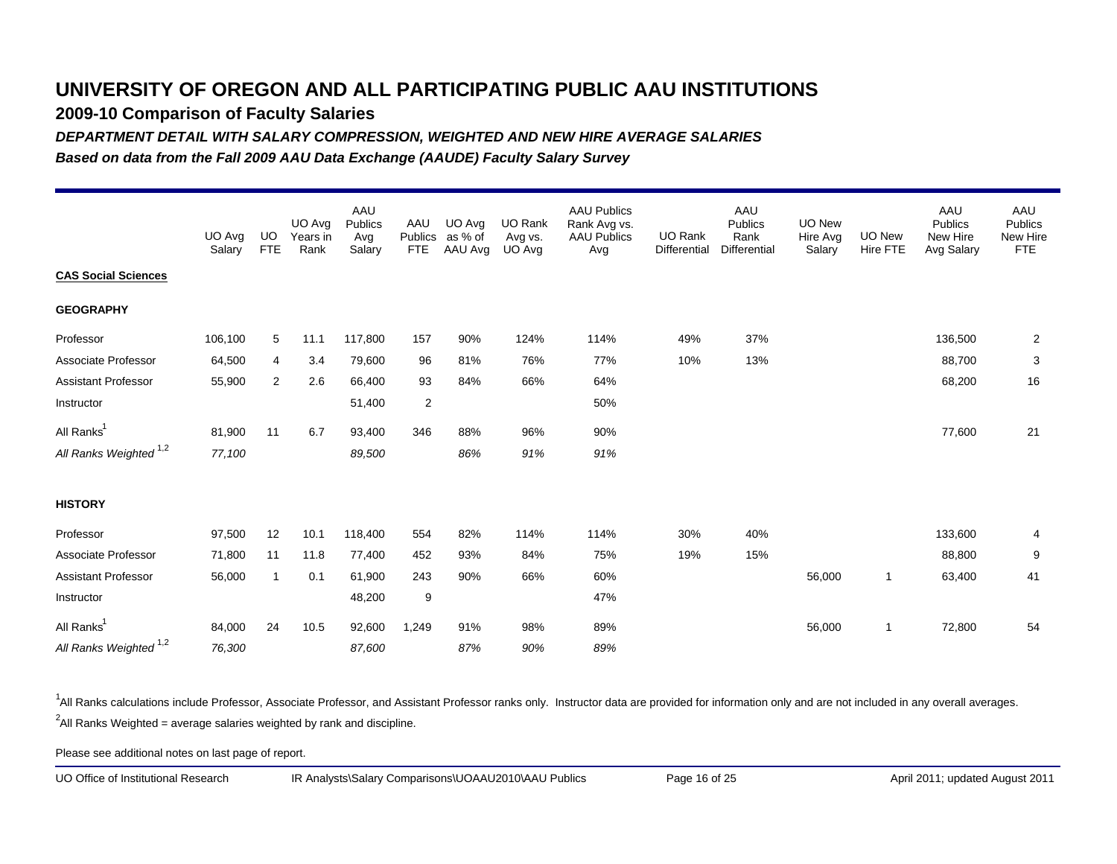**2009-10 Comparison of Faculty Salaries**

*DEPARTMENT DETAIL WITH SALARY COMPRESSION, WEIGHTED AND NEW HIRE AVERAGE SALARIES*

*Based on data from the Fall 2009 AAU Data Exchange (AAUDE) Faculty Salary Survey*

|                                   | UO Avg<br>Salary | UO.<br><b>FTE</b> | UO Avg<br>Years in<br>Rank | AAU<br>Publics<br>Avg<br>Salary | AAU<br>Publics<br><b>FTE</b> | UO Avg<br>as % of<br>AAU Avg | UO Rank<br>Avg vs.<br>UO Avg | <b>AAU Publics</b><br>Rank Avg vs.<br><b>AAU Publics</b><br>Avg | UO Rank<br>Differential | AAU<br>Publics<br>Rank<br>Differential | UO New<br>Hire Avg<br>Salary | <b>UO New</b><br>Hire FTE | AAU<br>Publics<br>New Hire<br>Avg Salary | AAU<br><b>Publics</b><br>New Hire<br><b>FTE</b> |
|-----------------------------------|------------------|-------------------|----------------------------|---------------------------------|------------------------------|------------------------------|------------------------------|-----------------------------------------------------------------|-------------------------|----------------------------------------|------------------------------|---------------------------|------------------------------------------|-------------------------------------------------|
| <b>CAS Social Sciences</b>        |                  |                   |                            |                                 |                              |                              |                              |                                                                 |                         |                                        |                              |                           |                                          |                                                 |
| <b>GEOGRAPHY</b>                  |                  |                   |                            |                                 |                              |                              |                              |                                                                 |                         |                                        |                              |                           |                                          |                                                 |
| Professor                         | 106,100          | 5                 | 11.1                       | 117,800                         | 157                          | 90%                          | 124%                         | 114%                                                            | 49%                     | 37%                                    |                              |                           | 136,500                                  | $\overline{c}$                                  |
| Associate Professor               | 64,500           | 4                 | 3.4                        | 79,600                          | 96                           | 81%                          | 76%                          | 77%                                                             | 10%                     | 13%                                    |                              |                           | 88,700                                   | 3                                               |
| <b>Assistant Professor</b>        | 55,900           | $\overline{2}$    | 2.6                        | 66,400                          | 93                           | 84%                          | 66%                          | 64%                                                             |                         |                                        |                              |                           | 68,200                                   | 16                                              |
| Instructor                        |                  |                   |                            | 51,400                          | $\boldsymbol{2}$             |                              |                              | 50%                                                             |                         |                                        |                              |                           |                                          |                                                 |
| All Ranks <sup>1</sup>            | 81,900           | 11                | 6.7                        | 93,400                          | 346                          | 88%                          | 96%                          | 90%                                                             |                         |                                        |                              |                           | 77,600                                   | 21                                              |
| All Ranks Weighted <sup>1,2</sup> | 77,100           |                   |                            | 89,500                          |                              | 86%                          | 91%                          | 91%                                                             |                         |                                        |                              |                           |                                          |                                                 |
| <b>HISTORY</b>                    |                  |                   |                            |                                 |                              |                              |                              |                                                                 |                         |                                        |                              |                           |                                          |                                                 |
| Professor                         | 97,500           | 12                | 10.1                       | 118,400                         | 554                          | 82%                          | 114%                         | 114%                                                            | 30%                     | 40%                                    |                              |                           | 133,600                                  | 4                                               |
| Associate Professor               | 71,800           | 11                | 11.8                       | 77,400                          | 452                          | 93%                          | 84%                          | 75%                                                             | 19%                     | 15%                                    |                              |                           | 88,800                                   | 9                                               |
| <b>Assistant Professor</b>        | 56,000           | $\overline{1}$    | 0.1                        | 61,900                          | 243                          | 90%                          | 66%                          | 60%                                                             |                         |                                        | 56,000                       | $\overline{1}$            | 63,400                                   | 41                                              |
| Instructor                        |                  |                   |                            | 48,200                          | 9                            |                              |                              | 47%                                                             |                         |                                        |                              |                           |                                          |                                                 |
| All Ranks <sup>1</sup>            | 84,000           | 24                | 10.5                       | 92,600                          | 1,249                        | 91%                          | 98%                          | 89%                                                             |                         |                                        | 56,000                       | $\overline{1}$            | 72,800                                   | 54                                              |
| All Ranks Weighted <sup>1,2</sup> | 76,300           |                   |                            | 87,600                          |                              | 87%                          | 90%                          | 89%                                                             |                         |                                        |                              |                           |                                          |                                                 |

<sup>1</sup>All Ranks calculations include Professor, Associate Professor, and Assistant Professor ranks only. Instructor data are provided for information only and are not included in any overall averages.  $^2$ All Ranks Weighted = average salaries weighted by rank and discipline.

Please see additional notes on last page of report.

UO Office of Institutional Research IR Analysts\Salary Comparisons\UOAAU2010\AAU Publics Page 16 of 25 April 2011; updated August 2011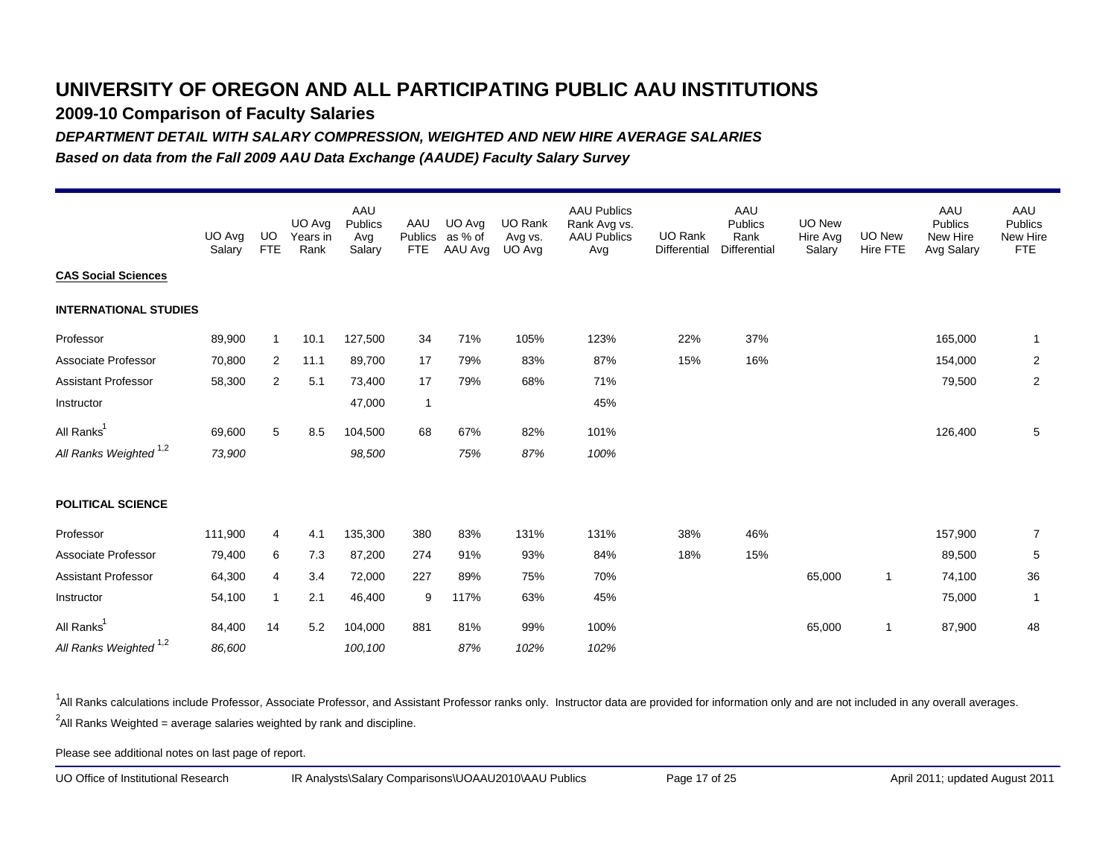**2009-10 Comparison of Faculty Salaries**

*DEPARTMENT DETAIL WITH SALARY COMPRESSION, WEIGHTED AND NEW HIRE AVERAGE SALARIES*

*Based on data from the Fall 2009 AAU Data Exchange (AAUDE) Faculty Salary Survey*

|                                   | UO Avg<br>Salary | UO.<br><b>FTE</b> | UO Avg<br>Years in<br>Rank | AAU<br>Publics<br>Avg<br>Salary | AAU<br>Publics<br><b>FTE</b> | UO Avg<br>as % of<br>AAU Avg | UO Rank<br>Avg vs.<br>UO Avg | <b>AAU Publics</b><br>Rank Avg vs.<br><b>AAU Publics</b><br>Avg | UO Rank<br>Differential | AAU<br>Publics<br>Rank<br>Differential | <b>UO New</b><br>Hire Avg<br>Salary | UO New<br>Hire FTE | AAU<br>Publics<br>New Hire<br>Avg Salary | AAU<br><b>Publics</b><br>New Hire<br><b>FTE</b> |
|-----------------------------------|------------------|-------------------|----------------------------|---------------------------------|------------------------------|------------------------------|------------------------------|-----------------------------------------------------------------|-------------------------|----------------------------------------|-------------------------------------|--------------------|------------------------------------------|-------------------------------------------------|
| <b>CAS Social Sciences</b>        |                  |                   |                            |                                 |                              |                              |                              |                                                                 |                         |                                        |                                     |                    |                                          |                                                 |
| <b>INTERNATIONAL STUDIES</b>      |                  |                   |                            |                                 |                              |                              |                              |                                                                 |                         |                                        |                                     |                    |                                          |                                                 |
| Professor                         | 89,900           | -1                | 10.1                       | 127,500                         | 34                           | 71%                          | 105%                         | 123%                                                            | 22%                     | 37%                                    |                                     |                    | 165,000                                  | $\mathbf{1}$                                    |
| Associate Professor               | 70,800           | $\overline{2}$    | 11.1                       | 89,700                          | 17                           | 79%                          | 83%                          | 87%                                                             | 15%                     | 16%                                    |                                     |                    | 154,000                                  | $\overline{2}$                                  |
| <b>Assistant Professor</b>        | 58,300           | $\overline{2}$    | 5.1                        | 73,400                          | 17                           | 79%                          | 68%                          | 71%                                                             |                         |                                        |                                     |                    | 79,500                                   | $\overline{2}$                                  |
| Instructor                        |                  |                   |                            | 47,000                          | $\overline{1}$               |                              |                              | 45%                                                             |                         |                                        |                                     |                    |                                          |                                                 |
| All Ranks <sup>1</sup>            | 69,600           | 5                 | 8.5                        | 104,500                         | 68                           | 67%                          | 82%                          | 101%                                                            |                         |                                        |                                     |                    | 126,400                                  | 5                                               |
| All Ranks Weighted <sup>1,2</sup> | 73,900           |                   |                            | 98,500                          |                              | 75%                          | 87%                          | 100%                                                            |                         |                                        |                                     |                    |                                          |                                                 |
| <b>POLITICAL SCIENCE</b>          |                  |                   |                            |                                 |                              |                              |                              |                                                                 |                         |                                        |                                     |                    |                                          |                                                 |
| Professor                         | 111,900          | 4                 | 4.1                        | 135,300                         | 380                          | 83%                          | 131%                         | 131%                                                            | 38%                     | 46%                                    |                                     |                    | 157,900                                  | 7                                               |
| Associate Professor               | 79,400           | 6                 | 7.3                        | 87,200                          | 274                          | 91%                          | 93%                          | 84%                                                             | 18%                     | 15%                                    |                                     |                    | 89,500                                   | 5                                               |
| <b>Assistant Professor</b>        | 64,300           | 4                 | 3.4                        | 72,000                          | 227                          | 89%                          | 75%                          | 70%                                                             |                         |                                        | 65,000                              | $\overline{1}$     | 74,100                                   | 36                                              |
| Instructor                        | 54,100           | 1                 | 2.1                        | 46,400                          | 9                            | 117%                         | 63%                          | 45%                                                             |                         |                                        |                                     |                    | 75,000                                   | $\mathbf{1}$                                    |
| All Ranks <sup>1</sup>            | 84,400           | 14                | 5.2                        | 104,000                         | 881                          | 81%                          | 99%                          | 100%                                                            |                         |                                        | 65,000                              | $\overline{1}$     | 87,900                                   | 48                                              |
| All Ranks Weighted <sup>1,2</sup> | 86,600           |                   |                            | 100,100                         |                              | 87%                          | 102%                         | 102%                                                            |                         |                                        |                                     |                    |                                          |                                                 |

<sup>1</sup>All Ranks calculations include Professor, Associate Professor, and Assistant Professor ranks only. Instructor data are provided for information only and are not included in any overall averages.  $^2$ All Ranks Weighted = average salaries weighted by rank and discipline.

Please see additional notes on last page of report.

UO Office of Institutional Research IR Analysts\Salary Comparisons\UOAAU2010\AAU Publics Page 17 of 25 April 2011; updated August 2011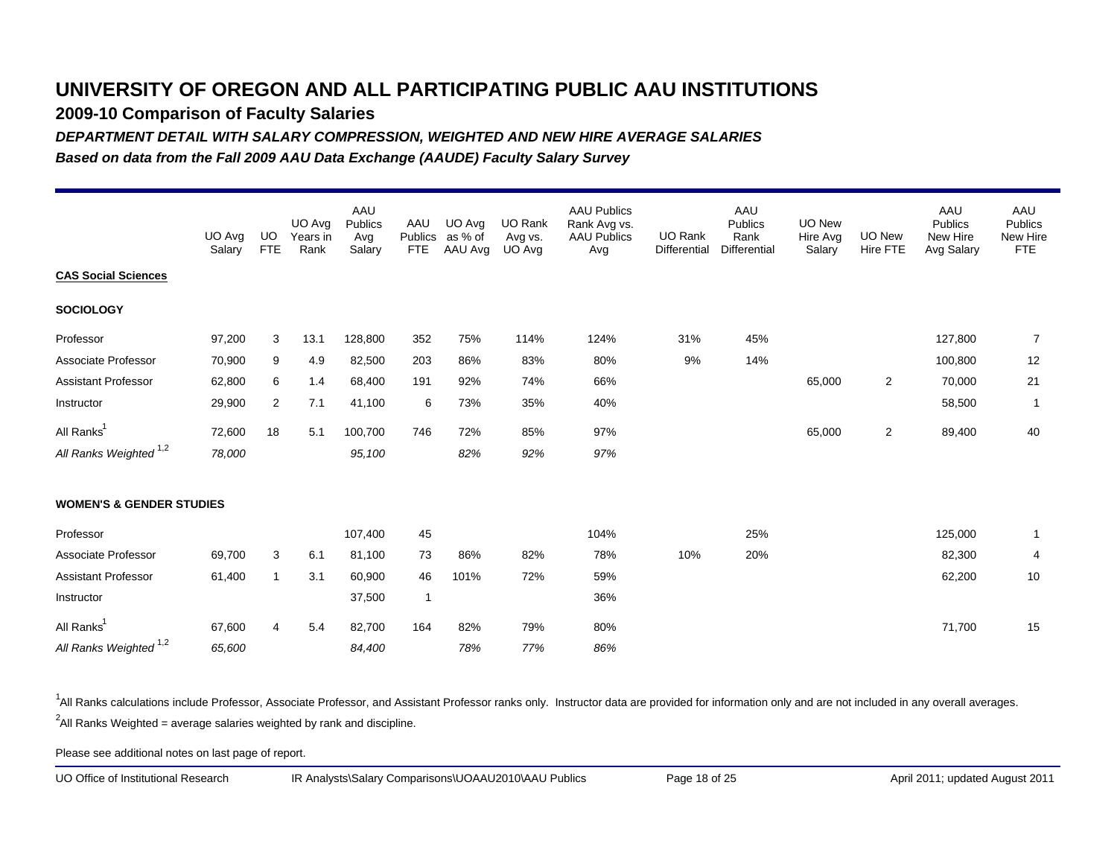**2009-10 Comparison of Faculty Salaries**

*DEPARTMENT DETAIL WITH SALARY COMPRESSION, WEIGHTED AND NEW HIRE AVERAGE SALARIES*

*Based on data from the Fall 2009 AAU Data Exchange (AAUDE) Faculty Salary Survey*

|                                     | UO Avg<br>Salary | UO.<br><b>FTE</b> | UO Avg<br>Years in<br>Rank | AAU<br>Publics<br>Avg<br>Salary | AAU<br>Publics<br><b>FTE</b> | UO Avg<br>as % of<br>AAU Avg | <b>UO Rank</b><br>Avg vs.<br>UO Avg | <b>AAU Publics</b><br>Rank Avg vs.<br><b>AAU Publics</b><br>Avg | <b>UO Rank</b><br>Differential | AAU<br>Publics<br>Rank<br><b>Differential</b> | <b>UO New</b><br>Hire Avg<br>Salary | <b>UO New</b><br><b>Hire FTE</b> | AAU<br><b>Publics</b><br>New Hire<br>Avg Salary | AAU<br><b>Publics</b><br>New Hire<br><b>FTE</b> |
|-------------------------------------|------------------|-------------------|----------------------------|---------------------------------|------------------------------|------------------------------|-------------------------------------|-----------------------------------------------------------------|--------------------------------|-----------------------------------------------|-------------------------------------|----------------------------------|-------------------------------------------------|-------------------------------------------------|
| <b>CAS Social Sciences</b>          |                  |                   |                            |                                 |                              |                              |                                     |                                                                 |                                |                                               |                                     |                                  |                                                 |                                                 |
| <b>SOCIOLOGY</b>                    |                  |                   |                            |                                 |                              |                              |                                     |                                                                 |                                |                                               |                                     |                                  |                                                 |                                                 |
| Professor                           | 97,200           | 3                 | 13.1                       | 128,800                         | 352                          | 75%                          | 114%                                | 124%                                                            | 31%                            | 45%                                           |                                     |                                  | 127,800                                         | 7                                               |
| Associate Professor                 | 70,900           | 9                 | 4.9                        | 82,500                          | 203                          | 86%                          | 83%                                 | 80%                                                             | 9%                             | 14%                                           |                                     |                                  | 100,800                                         | 12                                              |
| <b>Assistant Professor</b>          | 62,800           | 6                 | 1.4                        | 68,400                          | 191                          | 92%                          | 74%                                 | 66%                                                             |                                |                                               | 65,000                              | $\overline{2}$                   | 70,000                                          | 21                                              |
| Instructor                          | 29,900           | $\overline{2}$    | 7.1                        | 41,100                          | 6                            | 73%                          | 35%                                 | 40%                                                             |                                |                                               |                                     |                                  | 58,500                                          | $\mathbf{1}$                                    |
| All Ranks <sup>1</sup>              | 72,600           | 18                | 5.1                        | 100,700                         | 746                          | 72%                          | 85%                                 | 97%                                                             |                                |                                               | 65,000                              | 2                                | 89,400                                          | 40                                              |
| All Ranks Weighted <sup>1,2</sup>   | 78,000           |                   |                            | 95,100                          |                              | 82%                          | 92%                                 | 97%                                                             |                                |                                               |                                     |                                  |                                                 |                                                 |
| <b>WOMEN'S &amp; GENDER STUDIES</b> |                  |                   |                            |                                 |                              |                              |                                     |                                                                 |                                |                                               |                                     |                                  |                                                 |                                                 |
| Professor                           |                  |                   |                            | 107,400                         | 45                           |                              |                                     | 104%                                                            |                                | 25%                                           |                                     |                                  | 125,000                                         | $\mathbf{1}$                                    |
| Associate Professor                 | 69,700           | 3                 | 6.1                        | 81,100                          | 73                           | 86%                          | 82%                                 | 78%                                                             | 10%                            | 20%                                           |                                     |                                  | 82,300                                          | 4                                               |
| <b>Assistant Professor</b>          | 61,400           | $\mathbf{1}$      | 3.1                        | 60,900                          | 46                           | 101%                         | 72%                                 | 59%                                                             |                                |                                               |                                     |                                  | 62,200                                          | 10                                              |
| Instructor                          |                  |                   |                            | 37,500                          | $\overline{1}$               |                              |                                     | 36%                                                             |                                |                                               |                                     |                                  |                                                 |                                                 |
| All Ranks <sup>1</sup>              | 67,600           | 4                 | 5.4                        | 82,700                          | 164                          | 82%                          | 79%                                 | 80%                                                             |                                |                                               |                                     |                                  | 71,700                                          | 15                                              |
| All Ranks Weighted <sup>1,2</sup>   | 65,600           |                   |                            | 84,400                          |                              | 78%                          | 77%                                 | 86%                                                             |                                |                                               |                                     |                                  |                                                 |                                                 |

<sup>1</sup>All Ranks calculations include Professor, Associate Professor, and Assistant Professor ranks only. Instructor data are provided for information only and are not included in any overall averages.  $^2$ All Ranks Weighted = average salaries weighted by rank and discipline.

Please see additional notes on last page of report.

UO Office of Institutional Research IR Analysts\Salary Comparisons\UOAAU2010\AAU Publics Page 18 of 25 April 2011; updated August 2011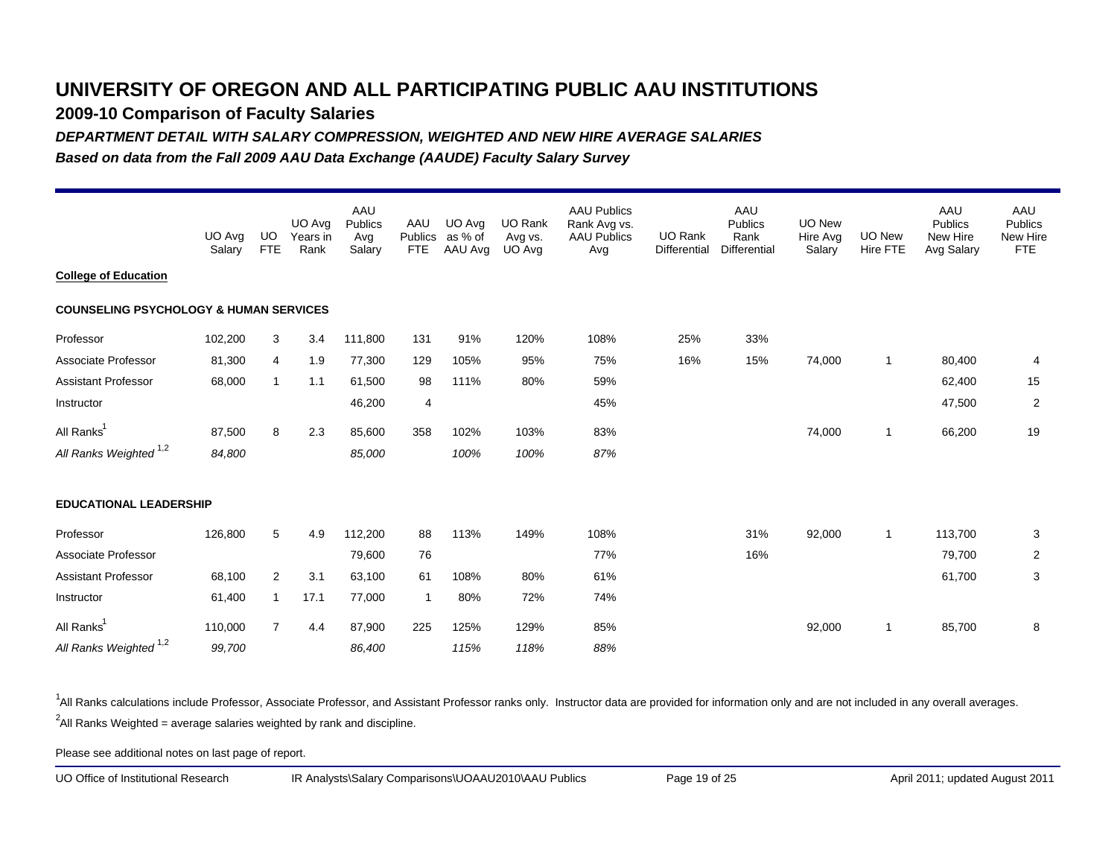**2009-10 Comparison of Faculty Salaries**

*DEPARTMENT DETAIL WITH SALARY COMPRESSION, WEIGHTED AND NEW HIRE AVERAGE SALARIES*

*Based on data from the Fall 2009 AAU Data Exchange (AAUDE) Faculty Salary Survey*

|                                                   | UO Avg<br>Salary | <b>UO</b><br><b>FTE</b> | UO Avg<br>Years in<br>Rank | AAU<br>Publics<br>Avg<br>Salary | AAU<br>Publics<br><b>FTE</b> | UO Avg<br>as % of<br>AAU Avg | UO Rank<br>Avg vs.<br>UO Avg | <b>AAU Publics</b><br>Rank Avg vs.<br><b>AAU Publics</b><br>Avg | <b>UO Rank</b><br>Differential | AAU<br>Publics<br>Rank<br>Differential | <b>UO New</b><br>Hire Avg<br>Salary | UO New<br>Hire FTE | AAU<br>Publics<br>New Hire<br>Avg Salary | AAU<br><b>Publics</b><br>New Hire<br><b>FTE</b> |
|---------------------------------------------------|------------------|-------------------------|----------------------------|---------------------------------|------------------------------|------------------------------|------------------------------|-----------------------------------------------------------------|--------------------------------|----------------------------------------|-------------------------------------|--------------------|------------------------------------------|-------------------------------------------------|
| <b>College of Education</b>                       |                  |                         |                            |                                 |                              |                              |                              |                                                                 |                                |                                        |                                     |                    |                                          |                                                 |
| <b>COUNSELING PSYCHOLOGY &amp; HUMAN SERVICES</b> |                  |                         |                            |                                 |                              |                              |                              |                                                                 |                                |                                        |                                     |                    |                                          |                                                 |
| Professor                                         | 102,200          | 3                       | 3.4                        | 111,800                         | 131                          | 91%                          | 120%                         | 108%                                                            | 25%                            | 33%                                    |                                     |                    |                                          |                                                 |
| Associate Professor                               | 81,300           | 4                       | 1.9                        | 77,300                          | 129                          | 105%                         | 95%                          | 75%                                                             | 16%                            | 15%                                    | 74,000                              | $\overline{1}$     | 80,400                                   | 4                                               |
| <b>Assistant Professor</b>                        | 68,000           |                         | 1.1                        | 61,500                          | 98                           | 111%                         | 80%                          | 59%                                                             |                                |                                        |                                     |                    | 62,400                                   | 15                                              |
| Instructor                                        |                  |                         |                            | 46,200                          | 4                            |                              |                              | 45%                                                             |                                |                                        |                                     |                    | 47,500                                   | $\overline{2}$                                  |
| All Ranks <sup>1</sup>                            | 87,500           | 8                       | 2.3                        | 85,600                          | 358                          | 102%                         | 103%                         | 83%                                                             |                                |                                        | 74,000                              | $\overline{1}$     | 66,200                                   | 19                                              |
| All Ranks Weighted <sup>1,2</sup>                 | 84,800           |                         |                            | 85,000                          |                              | 100%                         | 100%                         | 87%                                                             |                                |                                        |                                     |                    |                                          |                                                 |
| <b>EDUCATIONAL LEADERSHIP</b>                     |                  |                         |                            |                                 |                              |                              |                              |                                                                 |                                |                                        |                                     |                    |                                          |                                                 |
| Professor                                         | 126,800          | 5                       | 4.9                        | 112,200                         | 88                           | 113%                         | 149%                         | 108%                                                            |                                | 31%                                    | 92,000                              | $\overline{1}$     | 113,700                                  | 3                                               |
| Associate Professor                               |                  |                         |                            | 79,600                          | 76                           |                              |                              | 77%                                                             |                                | 16%                                    |                                     |                    | 79,700                                   | $\overline{2}$                                  |
| <b>Assistant Professor</b>                        | 68,100           | $\overline{2}$          | 3.1                        | 63,100                          | 61                           | 108%                         | 80%                          | 61%                                                             |                                |                                        |                                     |                    | 61,700                                   | 3                                               |
| Instructor                                        | 61,400           |                         | 17.1                       | 77,000                          | $\mathbf{1}$                 | 80%                          | 72%                          | 74%                                                             |                                |                                        |                                     |                    |                                          |                                                 |
| All Ranks <sup>1</sup>                            | 110,000          | $\overline{7}$          | 4.4                        | 87,900                          | 225                          | 125%                         | 129%                         | 85%                                                             |                                |                                        | 92,000                              | $\overline{1}$     | 85,700                                   | 8                                               |
| All Ranks Weighted <sup>1,2</sup>                 | 99,700           |                         |                            | 86,400                          |                              | 115%                         | 118%                         | 88%                                                             |                                |                                        |                                     |                    |                                          |                                                 |

<sup>1</sup>All Ranks calculations include Professor, Associate Professor, and Assistant Professor ranks only. Instructor data are provided for information only and are not included in any overall averages.  $^2$ All Ranks Weighted = average salaries weighted by rank and discipline.

Please see additional notes on last page of report.

UO Office of Institutional Research IR Analysts\Salary Comparisons\UOAAU2010\AAU Publics Page 19 of 25 April 2011; updated August 2011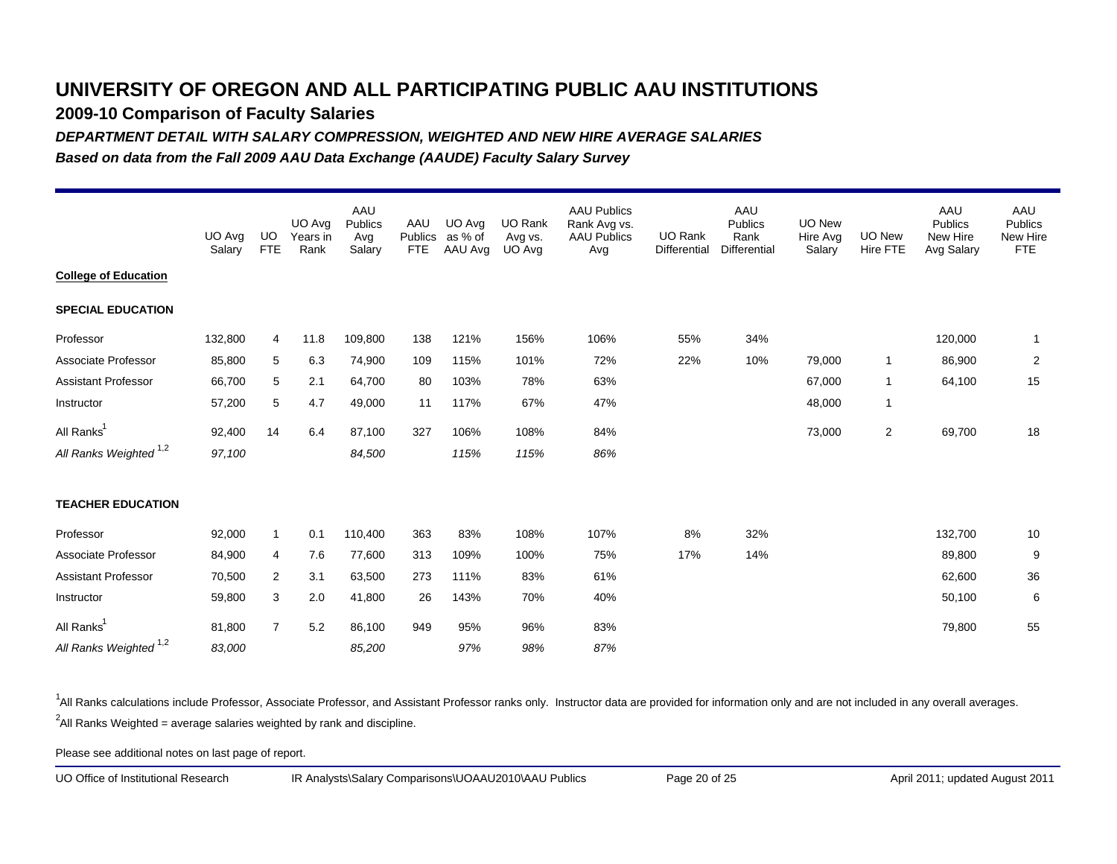**2009-10 Comparison of Faculty Salaries**

*DEPARTMENT DETAIL WITH SALARY COMPRESSION, WEIGHTED AND NEW HIRE AVERAGE SALARIES*

*Based on data from the Fall 2009 AAU Data Exchange (AAUDE) Faculty Salary Survey*

|                                   | UO Avg<br>Salary | <b>UO</b><br><b>FTE</b> | UO Avg<br>Years in<br>Rank | AAU<br>Publics<br>Avg<br>Salary | AAU<br>Publics<br><b>FTE</b> | UO Avg<br>as % of<br>AAU Ava | UO Rank<br>Avg vs.<br>UO Avg | <b>AAU Publics</b><br>Rank Avg vs.<br><b>AAU Publics</b><br>Avg | <b>UO Rank</b><br>Differential | AAU<br>Publics<br>Rank<br>Differential | <b>UO New</b><br>Hire Avg<br>Salary | UO New<br><b>Hire FTE</b> | AAU<br><b>Publics</b><br>New Hire<br>Avg Salary | AAU<br><b>Publics</b><br>New Hire<br><b>FTE</b> |
|-----------------------------------|------------------|-------------------------|----------------------------|---------------------------------|------------------------------|------------------------------|------------------------------|-----------------------------------------------------------------|--------------------------------|----------------------------------------|-------------------------------------|---------------------------|-------------------------------------------------|-------------------------------------------------|
| <b>College of Education</b>       |                  |                         |                            |                                 |                              |                              |                              |                                                                 |                                |                                        |                                     |                           |                                                 |                                                 |
| <b>SPECIAL EDUCATION</b>          |                  |                         |                            |                                 |                              |                              |                              |                                                                 |                                |                                        |                                     |                           |                                                 |                                                 |
| Professor                         | 132,800          | 4                       | 11.8                       | 109,800                         | 138                          | 121%                         | 156%                         | 106%                                                            | 55%                            | 34%                                    |                                     |                           | 120,000                                         | -1                                              |
| Associate Professor               | 85,800           | 5                       | 6.3                        | 74,900                          | 109                          | 115%                         | 101%                         | 72%                                                             | 22%                            | 10%                                    | 79,000                              | $\overline{1}$            | 86,900                                          | $\overline{2}$                                  |
| <b>Assistant Professor</b>        | 66,700           | 5                       | 2.1                        | 64,700                          | 80                           | 103%                         | 78%                          | 63%                                                             |                                |                                        | 67,000                              | $\mathbf{1}$              | 64,100                                          | 15                                              |
| Instructor                        | 57,200           | 5                       | 4.7                        | 49,000                          | 11                           | 117%                         | 67%                          | 47%                                                             |                                |                                        | 48,000                              | $\mathbf{1}$              |                                                 |                                                 |
| All Ranks <sup>1</sup>            | 92,400           | 14                      | 6.4                        | 87,100                          | 327                          | 106%                         | 108%                         | 84%                                                             |                                |                                        | 73,000                              | 2                         | 69,700                                          | 18                                              |
| All Ranks Weighted <sup>1,2</sup> | 97,100           |                         |                            | 84,500                          |                              | 115%                         | 115%                         | 86%                                                             |                                |                                        |                                     |                           |                                                 |                                                 |
| <b>TEACHER EDUCATION</b>          |                  |                         |                            |                                 |                              |                              |                              |                                                                 |                                |                                        |                                     |                           |                                                 |                                                 |
| Professor                         | 92,000           | $\mathbf{1}$            | 0.1                        | 110,400                         | 363                          | 83%                          | 108%                         | 107%                                                            | 8%                             | 32%                                    |                                     |                           | 132,700                                         | 10                                              |
| Associate Professor               | 84,900           | 4                       | 7.6                        | 77,600                          | 313                          | 109%                         | 100%                         | 75%                                                             | 17%                            | 14%                                    |                                     |                           | 89,800                                          | 9                                               |
| Assistant Professor               | 70,500           | $\overline{2}$          | 3.1                        | 63,500                          | 273                          | 111%                         | 83%                          | 61%                                                             |                                |                                        |                                     |                           | 62,600                                          | 36                                              |
| Instructor                        | 59,800           | 3                       | 2.0                        | 41,800                          | 26                           | 143%                         | 70%                          | 40%                                                             |                                |                                        |                                     |                           | 50,100                                          | 6                                               |
| All Ranks                         | 81,800           | $\overline{7}$          | 5.2                        | 86,100                          | 949                          | 95%                          | 96%                          | 83%                                                             |                                |                                        |                                     |                           | 79,800                                          | 55                                              |
| All Ranks Weighted <sup>1,2</sup> | 83,000           |                         |                            | 85,200                          |                              | 97%                          | 98%                          | 87%                                                             |                                |                                        |                                     |                           |                                                 |                                                 |

<sup>1</sup>All Ranks calculations include Professor, Associate Professor, and Assistant Professor ranks only. Instructor data are provided for information only and are not included in any overall averages.  $^2$ All Ranks Weighted = average salaries weighted by rank and discipline.

Please see additional notes on last page of report.

UO Office of Institutional Research IR Analysts\Salary Comparisons\UOAAU2010\AAU Publics Page 20 of 25 April 2011; updated August 2011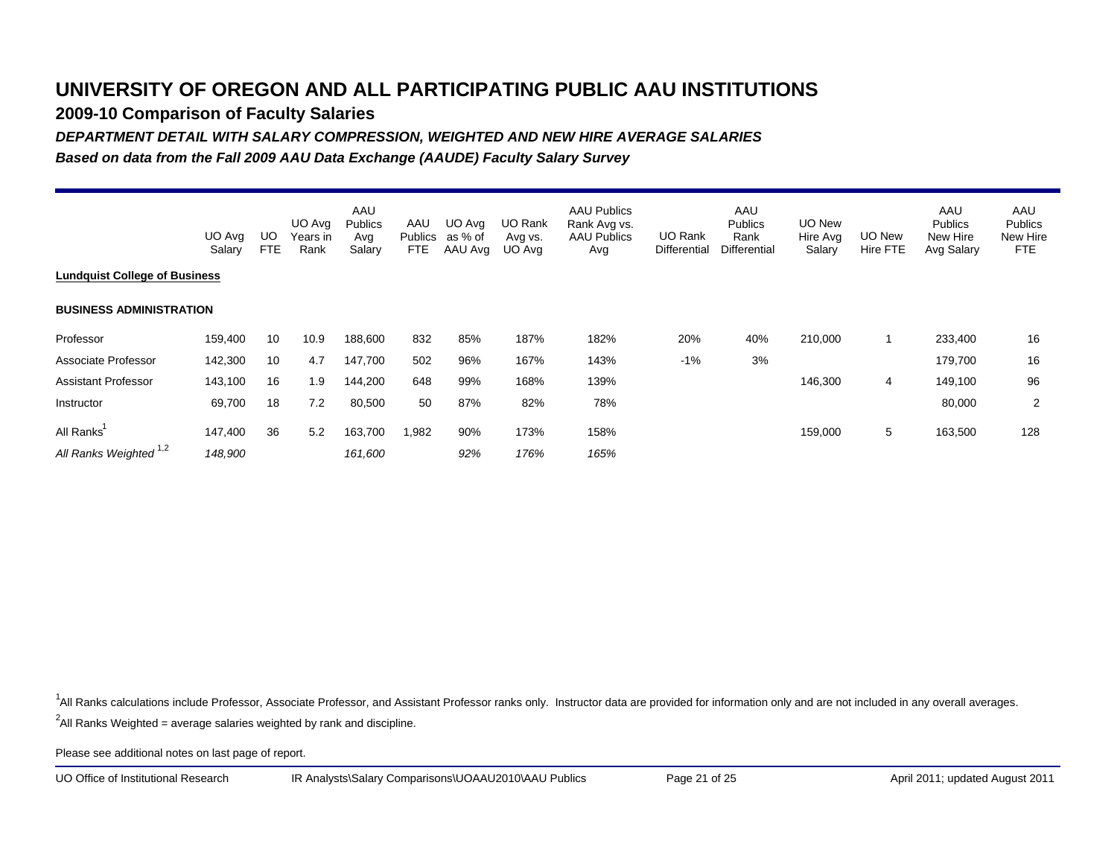**2009-10 Comparison of Faculty Salaries**

*DEPARTMENT DETAIL WITH SALARY COMPRESSION, WEIGHTED AND NEW HIRE AVERAGE SALARIES*

*Based on data from the Fall 2009 AAU Data Exchange (AAUDE) Faculty Salary Survey*

|                                      | UO Avg  | UO  | UO Avg<br>Years in | AAU<br>Publics<br>Avg | AAU<br>Publics | UO Avg<br>as % of | UO Rank<br>Avg vs. | <b>AAU Publics</b><br>Rank Avg vs.<br><b>AAU Publics</b> | UO Rank      | AAU<br><b>Publics</b><br>Rank | UO New<br>Hire Avg | UO New   | AAU<br>Publics<br>New Hire | AAU<br><b>Publics</b><br>New Hire |
|--------------------------------------|---------|-----|--------------------|-----------------------|----------------|-------------------|--------------------|----------------------------------------------------------|--------------|-------------------------------|--------------------|----------|----------------------------|-----------------------------------|
|                                      | Salary  | FTE | Rank               | Salary                | FTE            | AAU Avg           | UO Avg             | Avg                                                      | Differential | <b>Differential</b>           | Salary             | Hire FTE | Avg Salary                 | <b>FTE</b>                        |
| <b>Lundquist College of Business</b> |         |     |                    |                       |                |                   |                    |                                                          |              |                               |                    |          |                            |                                   |
| <b>BUSINESS ADMINISTRATION</b>       |         |     |                    |                       |                |                   |                    |                                                          |              |                               |                    |          |                            |                                   |
| Professor                            | 159,400 | 10  | 10.9               | 188,600               | 832            | 85%               | 187%               | 182%                                                     | 20%          | 40%                           | 210,000            |          | 233,400                    | 16                                |
| Associate Professor                  | 142,300 | 10  | 4.7                | 147,700               | 502            | 96%               | 167%               | 143%                                                     | $-1%$        | 3%                            |                    |          | 179,700                    | 16                                |
| <b>Assistant Professor</b>           | 143,100 | 16  | 1.9                | 144,200               | 648            | 99%               | 168%               | 139%                                                     |              |                               | 146,300            | 4        | 149,100                    | 96                                |
| Instructor                           | 69,700  | 18  | 7.2                | 80,500                | 50             | 87%               | 82%                | 78%                                                      |              |                               |                    |          | 80,000                     | $\overline{2}$                    |
| All Ranks                            | 147,400 | 36  | 5.2                | 163,700               | 1,982          | 90%               | 173%               | 158%                                                     |              |                               | 159,000            | 5        | 163,500                    | 128                               |
| All Ranks Weighted <sup>1,2</sup>    | 148,900 |     |                    | 161,600               |                | 92%               | 176%               | 165%                                                     |              |                               |                    |          |                            |                                   |

<sup>1</sup>All Ranks calculations include Professor, Associate Professor, and Assistant Professor ranks only. Instructor data are provided for information only and are not included in any overall averages.

 $^2$ All Ranks Weighted = average salaries weighted by rank and discipline.

Please see additional notes on last page of report.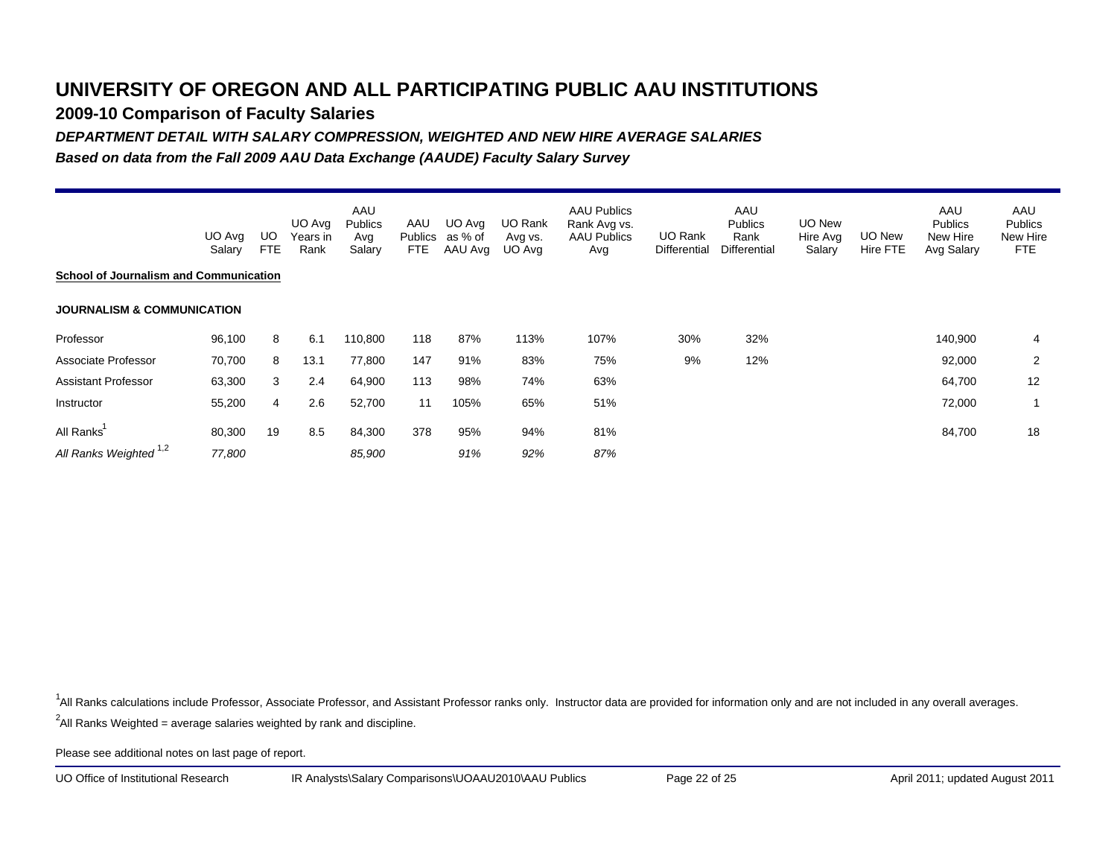**2009-10 Comparison of Faculty Salaries**

*DEPARTMENT DETAIL WITH SALARY COMPRESSION, WEIGHTED AND NEW HIRE AVERAGE SALARIES*

*Based on data from the Fall 2009 AAU Data Exchange (AAUDE) Faculty Salary Survey*

|                                                | UO Avg<br>Salary | UO<br>FTE | UO Avg<br>Years in<br>Rank | AAU<br>Publics<br>Avg<br>Salary | AAU<br>Publics<br><b>FTE</b> | UO Avg<br>as % of<br>AAU Avg | UO Rank<br>Avg vs.<br>UO Avg | <b>AAU Publics</b><br>Rank Avg vs.<br><b>AAU Publics</b> | UO Rank<br>Differential | AAU<br><b>Publics</b><br>Rank<br>Differential | UO New<br>Hire Avg<br>Salary | UO New<br>Hire FTE | AAU<br><b>Publics</b><br>New Hire<br>Avg Salary | AAU<br><b>Publics</b><br>New Hire<br><b>FTE</b> |
|------------------------------------------------|------------------|-----------|----------------------------|---------------------------------|------------------------------|------------------------------|------------------------------|----------------------------------------------------------|-------------------------|-----------------------------------------------|------------------------------|--------------------|-------------------------------------------------|-------------------------------------------------|
| <b>School of Journalism and Communication</b>  |                  |           |                            |                                 |                              |                              |                              | Avg                                                      |                         |                                               |                              |                    |                                                 |                                                 |
| <b>JOURNALISM &amp; COMMUNICATION</b>          |                  |           |                            |                                 |                              |                              |                              |                                                          |                         |                                               |                              |                    |                                                 |                                                 |
| Professor                                      | 96,100           | 8         | 6.1                        | 110,800                         | 118                          | 87%                          | 113%                         | 107%                                                     | 30%                     | 32%                                           |                              |                    | 140,900                                         | 4                                               |
| Associate Professor                            | 70,700           | 8         | 13.1                       | 77,800                          | 147                          | 91%                          | 83%                          | 75%                                                      | 9%                      | 12%                                           |                              |                    | 92,000                                          | 2                                               |
| <b>Assistant Professor</b>                     | 63,300           | 3         | 2.4                        | 64,900                          | 113                          | 98%                          | 74%                          | 63%                                                      |                         |                                               |                              |                    | 64,700                                          | 12                                              |
| Instructor                                     | 55,200           | 4         | 2.6                        | 52,700                          | 11                           | 105%                         | 65%                          | 51%                                                      |                         |                                               |                              |                    | 72,000                                          |                                                 |
| All Ranks<br>All Ranks Weighted <sup>1,2</sup> | 80,300<br>77,800 | 19        | 8.5                        | 84,300<br>85,900                | 378                          | 95%<br>91%                   | 94%<br>92%                   | 81%<br>87%                                               |                         |                                               |                              |                    | 84,700                                          | 18                                              |

<sup>1</sup>All Ranks calculations include Professor, Associate Professor, and Assistant Professor ranks only. Instructor data are provided for information only and are not included in any overall averages.

 $^2$ All Ranks Weighted = average salaries weighted by rank and discipline.

Please see additional notes on last page of report.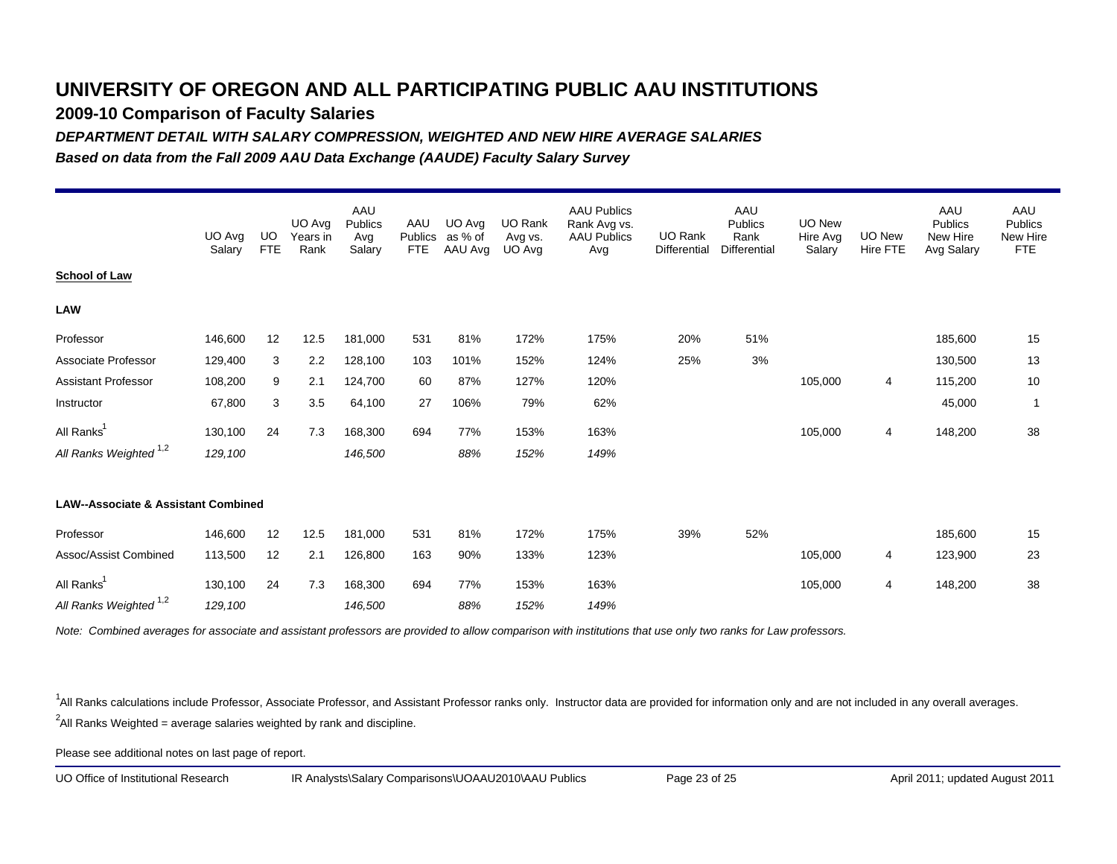**2009-10 Comparison of Faculty Salaries**

*DEPARTMENT DETAIL WITH SALARY COMPRESSION, WEIGHTED AND NEW HIRE AVERAGE SALARIES*

*Based on data from the Fall 2009 AAU Data Exchange (AAUDE) Faculty Salary Survey*

|                                                | UO Avg<br>Salary | UO.<br><b>FTE</b> | UO Avg<br>Years in<br>Rank | AAU<br>Publics<br>Avg<br>Salary | AAU<br><b>Publics</b><br><b>FTE</b> | UO Avg<br>as % of<br>AAU Avg | <b>UO Rank</b><br>Avg vs.<br>UO Avg | <b>AAU Publics</b><br>Rank Avg vs.<br><b>AAU Publics</b><br>Avg | <b>UO Rank</b><br>Differential | AAU<br><b>Publics</b><br>Rank<br><b>Differential</b> | UO New<br>Hire Avg<br>Salary | UO New<br><b>Hire FTE</b> | AAU<br>Publics<br>New Hire<br>Avg Salary | AAU<br><b>Publics</b><br>New Hire<br><b>FTE</b> |
|------------------------------------------------|------------------|-------------------|----------------------------|---------------------------------|-------------------------------------|------------------------------|-------------------------------------|-----------------------------------------------------------------|--------------------------------|------------------------------------------------------|------------------------------|---------------------------|------------------------------------------|-------------------------------------------------|
| <b>School of Law</b>                           |                  |                   |                            |                                 |                                     |                              |                                     |                                                                 |                                |                                                      |                              |                           |                                          |                                                 |
| <b>LAW</b>                                     |                  |                   |                            |                                 |                                     |                              |                                     |                                                                 |                                |                                                      |                              |                           |                                          |                                                 |
| Professor                                      | 146,600          | 12                | 12.5                       | 181,000                         | 531                                 | 81%                          | 172%                                | 175%                                                            | 20%                            | 51%                                                  |                              |                           | 185,600                                  | 15                                              |
| Associate Professor                            | 129,400          | 3                 | 2.2                        | 128,100                         | 103                                 | 101%                         | 152%                                | 124%                                                            | 25%                            | 3%                                                   |                              |                           | 130,500                                  | 13                                              |
| <b>Assistant Professor</b>                     | 108,200          | 9                 | 2.1                        | 124,700                         | 60                                  | 87%                          | 127%                                | 120%                                                            |                                |                                                      | 105,000                      | 4                         | 115,200                                  | 10                                              |
| Instructor                                     | 67,800           | 3                 | 3.5                        | 64,100                          | 27                                  | 106%                         | 79%                                 | 62%                                                             |                                |                                                      |                              |                           | 45,000                                   | $\overline{1}$                                  |
| All Ranks <sup>1</sup>                         | 130,100          | 24                | 7.3                        | 168,300                         | 694                                 | 77%                          | 153%                                | 163%                                                            |                                |                                                      | 105,000                      | 4                         | 148,200                                  | 38                                              |
| All Ranks Weighted <sup>1,2</sup>              | 129,100          |                   |                            | 146,500                         |                                     | 88%                          | 152%                                | 149%                                                            |                                |                                                      |                              |                           |                                          |                                                 |
|                                                |                  |                   |                            |                                 |                                     |                              |                                     |                                                                 |                                |                                                      |                              |                           |                                          |                                                 |
| <b>LAW--Associate &amp; Assistant Combined</b> |                  |                   |                            |                                 |                                     |                              |                                     |                                                                 |                                |                                                      |                              |                           |                                          |                                                 |
| Professor                                      | 146,600          | 12                | 12.5                       | 181,000                         | 531                                 | 81%                          | 172%                                | 175%                                                            | 39%                            | 52%                                                  |                              |                           | 185,600                                  | 15                                              |
| Assoc/Assist Combined                          | 113,500          | 12                | 2.1                        | 126,800                         | 163                                 | 90%                          | 133%                                | 123%                                                            |                                |                                                      | 105,000                      | 4                         | 123,900                                  | 23                                              |
| All Ranks <sup>1</sup>                         | 130,100          | 24                | 7.3                        | 168,300                         | 694                                 | 77%                          | 153%                                | 163%                                                            |                                |                                                      | 105,000                      | 4                         | 148,200                                  | 38                                              |
| All Ranks Weighted 1,2                         | 129,100          |                   |                            | 146,500                         |                                     | 88%                          | 152%                                | 149%                                                            |                                |                                                      |                              |                           |                                          |                                                 |

*Note: Combined averages for associate and assistant professors are provided to allow comparison with institutions that use only two ranks for Law professors.*

<sup>1</sup>All Ranks calculations include Professor, Associate Professor, and Assistant Professor ranks only. Instructor data are provided for information only and are not included in any overall averages.  $^2$ All Ranks Weighted = average salaries weighted by rank and discipline.

Please see additional notes on last page of report.

UO Office of Institutional Research IR Analysts\Salary Comparisons\UOAAU2010\AAU Publics Page 23 of 25 April 2011; updated August 2011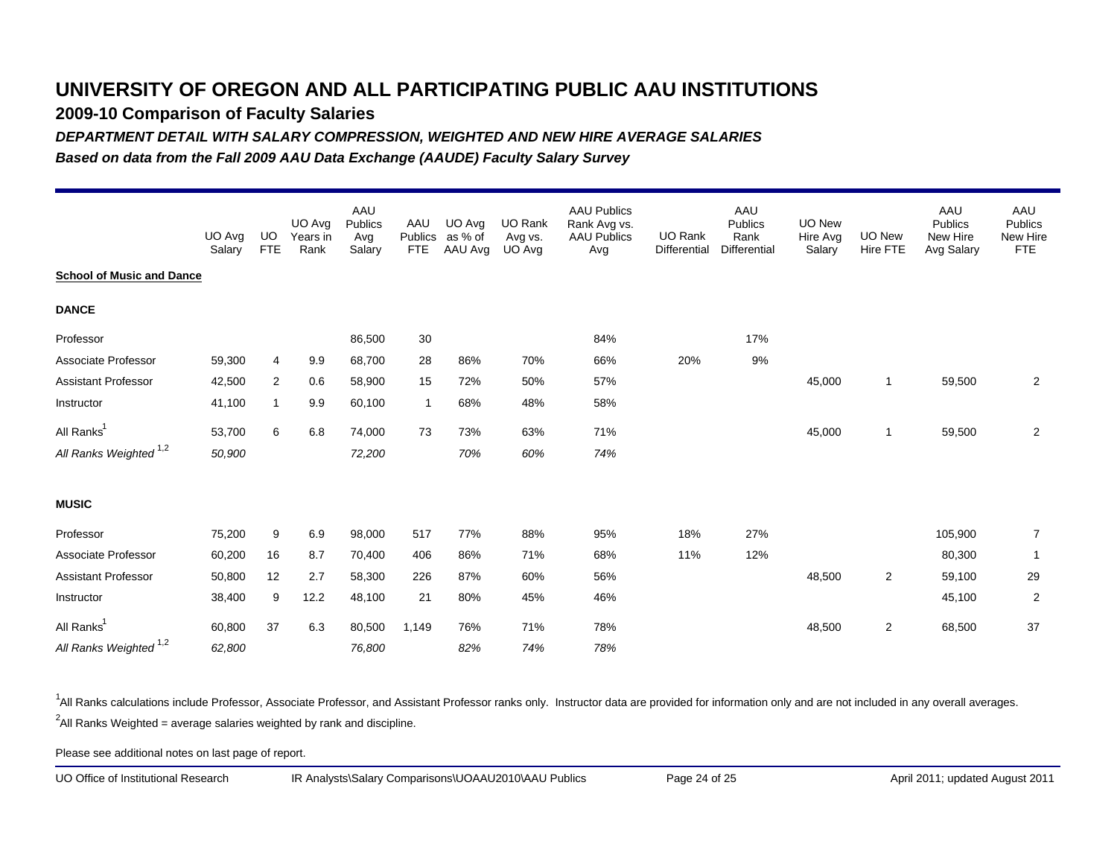**2009-10 Comparison of Faculty Salaries**

*DEPARTMENT DETAIL WITH SALARY COMPRESSION, WEIGHTED AND NEW HIRE AVERAGE SALARIES*

*Based on data from the Fall 2009 AAU Data Exchange (AAUDE) Faculty Salary Survey*

|                                   | UO Avg<br>Salary | UO.<br><b>FTE</b> | UO Avg<br>Years in<br>Rank | AAU<br>Publics<br>Avg<br>Salary | AAU<br>Publics<br><b>FTE</b> | UO Avg<br>as % of<br>AAU Avg | <b>UO Rank</b><br>Avg vs.<br>UO Avg | <b>AAU Publics</b><br>Rank Avg vs.<br><b>AAU Publics</b><br>Avg | <b>UO Rank</b><br>Differential | AAU<br>Publics<br>Rank<br><b>Differential</b> | <b>UO New</b><br>Hire Avg<br>Salary | UO New<br><b>Hire FTE</b> | AAU<br>Publics<br>New Hire<br>Avg Salary | AAU<br><b>Publics</b><br>New Hire<br><b>FTE</b> |
|-----------------------------------|------------------|-------------------|----------------------------|---------------------------------|------------------------------|------------------------------|-------------------------------------|-----------------------------------------------------------------|--------------------------------|-----------------------------------------------|-------------------------------------|---------------------------|------------------------------------------|-------------------------------------------------|
| <b>School of Music and Dance</b>  |                  |                   |                            |                                 |                              |                              |                                     |                                                                 |                                |                                               |                                     |                           |                                          |                                                 |
| <b>DANCE</b>                      |                  |                   |                            |                                 |                              |                              |                                     |                                                                 |                                |                                               |                                     |                           |                                          |                                                 |
| Professor                         |                  |                   |                            | 86,500                          | 30                           |                              |                                     | 84%                                                             |                                | 17%                                           |                                     |                           |                                          |                                                 |
| <b>Associate Professor</b>        | 59,300           | 4                 | 9.9                        | 68,700                          | 28                           | 86%                          | 70%                                 | 66%                                                             | 20%                            | $9\%$                                         |                                     |                           |                                          |                                                 |
| <b>Assistant Professor</b>        | 42,500           | 2                 | 0.6                        | 58,900                          | 15                           | 72%                          | 50%                                 | 57%                                                             |                                |                                               | 45,000                              | $\mathbf 1$               | 59,500                                   | $\overline{2}$                                  |
| Instructor                        | 41,100           | $\mathbf{1}$      | 9.9                        | 60,100                          | $\mathbf{1}$                 | 68%                          | 48%                                 | 58%                                                             |                                |                                               |                                     |                           |                                          |                                                 |
| All Ranks <sup>1</sup>            | 53,700           | 6                 | 6.8                        | 74,000                          | 73                           | 73%                          | 63%                                 | 71%                                                             |                                |                                               | 45,000                              | $\overline{1}$            | 59,500                                   | $\overline{2}$                                  |
| All Ranks Weighted <sup>1,2</sup> | 50,900           |                   |                            | 72,200                          |                              | 70%                          | 60%                                 | 74%                                                             |                                |                                               |                                     |                           |                                          |                                                 |
| <b>MUSIC</b>                      |                  |                   |                            |                                 |                              |                              |                                     |                                                                 |                                |                                               |                                     |                           |                                          |                                                 |
| Professor                         | 75,200           | 9                 | 6.9                        | 98,000                          | 517                          | 77%                          | 88%                                 | 95%                                                             | 18%                            | 27%                                           |                                     |                           | 105,900                                  | $\overline{7}$                                  |
| Associate Professor               | 60,200           | 16                | 8.7                        | 70,400                          | 406                          | 86%                          | 71%                                 | 68%                                                             | 11%                            | 12%                                           |                                     |                           | 80,300                                   | $\mathbf{1}$                                    |
| Assistant Professor               | 50,800           | 12                | 2.7                        | 58,300                          | 226                          | 87%                          | 60%                                 | 56%                                                             |                                |                                               | 48,500                              | 2                         | 59,100                                   | 29                                              |
| Instructor                        | 38,400           | 9                 | 12.2                       | 48,100                          | 21                           | 80%                          | 45%                                 | 46%                                                             |                                |                                               |                                     |                           | 45,100                                   | $\overline{2}$                                  |
| All Ranks <sup>1</sup>            | 60,800           | 37                | 6.3                        | 80,500                          | 1,149                        | 76%                          | 71%                                 | 78%                                                             |                                |                                               | 48,500                              | $\overline{2}$            | 68,500                                   | 37                                              |
| All Ranks Weighted <sup>1,2</sup> | 62,800           |                   |                            | 76,800                          |                              | 82%                          | 74%                                 | 78%                                                             |                                |                                               |                                     |                           |                                          |                                                 |

<sup>1</sup>All Ranks calculations include Professor, Associate Professor, and Assistant Professor ranks only. Instructor data are provided for information only and are not included in any overall averages.  $^2$ All Ranks Weighted = average salaries weighted by rank and discipline.

Please see additional notes on last page of report.

UO Office of Institutional Research IR Analysts\Salary Comparisons\UOAAU2010\AAU Publics Page 24 of 25 April 2011; updated August 2011